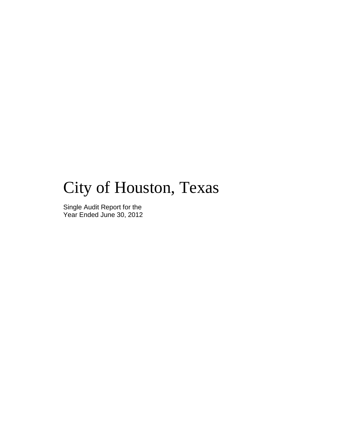# City of Houston, Texas

Single Audit Report for the Year Ended June 30, 2012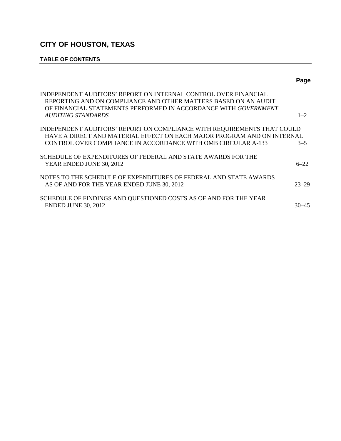# **TABLE OF CONTENTS**

|                                                                                                                                                                                                       | Page      |
|-------------------------------------------------------------------------------------------------------------------------------------------------------------------------------------------------------|-----------|
| INDEPENDENT AUDITORS' REPORT ON INTERNAL CONTROL OVER FINANCIAL<br>REPORTING AND ON COMPLIANCE AND OTHER MATTERS BASED ON AN AUDIT<br>OF FINANCIAL STATEMENTS PERFORMED IN ACCORDANCE WITH GOVERNMENT |           |
| AUDITING STANDARDS                                                                                                                                                                                    | $1 - 2$   |
| INDEPENDENT AUDITORS' REPORT ON COMPLIANCE WITH REQUIREMENTS THAT COULD<br>HAVE A DIRECT AND MATERIAL EFFECT ON EACH MAJOR PROGRAM AND ON INTERNAL                                                    |           |
| CONTROL OVER COMPLIANCE IN ACCORDANCE WITH OMB CIRCULAR A-133                                                                                                                                         | $3 - 5$   |
| SCHEDULE OF EXPENDITURES OF FEDERAL AND STATE AWARDS FOR THE<br>YEAR ENDED JUNE 30, 2012                                                                                                              | $6 - 22$  |
| NOTES TO THE SCHEDULE OF EXPENDITURES OF FEDERAL AND STATE AWARDS<br>AS OF AND FOR THE YEAR ENDED JUNE 30, 2012                                                                                       | $23 - 29$ |
| SCHEDULE OF FINDINGS AND QUESTIONED COSTS AS OF AND FOR THE YEAR<br><b>ENDED JUNE 30, 2012</b>                                                                                                        | 30–45     |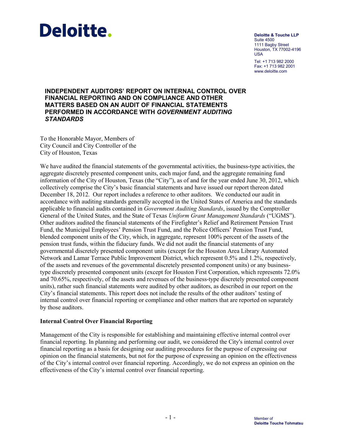# Deloitte.

**Deloitte & Touche LLP** Suite 4500 1111 Bagby Street Houston, TX 77002-4196 USA Tel: +1 713 982 2000 Fax: +1 713 982 2001

<www.deloitte.com>

# **INDEPENDENT AUDITORS' REPORT ON INTERNAL CONTROL OVER FINANCIAL REPORTING AND ON COMPLIANCE AND OTHER MATTERS BASED ON AN AUDIT OF FINANCIAL STATEMENTS PERFORMED IN ACCORDANCE WITH** *GOVERNMENT AUDITING STANDARDS*

To the Honorable Mayor, Members of City Council and City Controller of the City of Houston, Texas

We have audited the financial statements of the governmental activities, the business-type activities, the aggregate discretely presented component units, each major fund, and the aggregate remaining fund information of the City of Houston, Texas (the "City"), as of and for the year ended June 30, 2012, which collectively comprise the City's basic financial statements and have issued our report thereon dated December 18, 2012. Our report includes a reference to other auditors. We conducted our audit in accordance with auditing standards generally accepted in the United States of America and the standards applicable to financial audits contained in *Government Auditing Standards*, issued by the Comptroller General of the United States, and the State of Texas *Uniform Grant Management Standards* ("UGMS"). Other auditors audited the financial statements of the Firefighter's Relief and Retirement Pension Trust Fund, the Municipal Employees' Pension Trust Fund, and the Police Officers' Pension Trust Fund, blended component units of the City, which, in aggregate, represent 100% percent of the assets of the pension trust funds, within the fiduciary funds. We did not audit the financial statements of any governmental discretely presented component units (except for the Houston Area Library Automated Network and Lamar Terrace Public Improvement District, which represent 0.5% and 1.2%, respectively, of the assets and revenues of the governmental discretely presented component units) or any businesstype discretely presented component units (except for Houston First Corporation, which represents 72.0% and 70.65%, respectively, of the assets and revenues of the business-type discretely presented component units), rather such financial statements were audited by other auditors, as described in our report on the City's financial statements. This report does not include the results of the other auditors' testing of internal control over financial reporting or compliance and other matters that are reported on separately by those auditors.

# **Internal Control Over Financial Reporting**

Management of the City is responsible for establishing and maintaining effective internal control over financial reporting. In planning and performing our audit, we considered the City's internal control over financial reporting as a basis for designing our auditing procedures for the purpose of expressing our opinion on the financial statements, but not for the purpose of expressing an opinion on the effectiveness of the City's internal control over financial reporting. Accordingly, we do not express an opinion on the effectiveness of the City's internal control over financial reporting.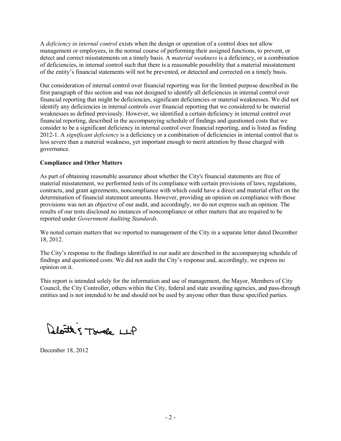A *deficiency in internal control* exists when the design or operation of a control does not allow management or employees, in the normal course of performing their assigned functions, to prevent, or detect and correct misstatements on a timely basis. A *material weakness* is a deficiency, or a combination of deficiencies, in internal control such that there is a reasonable possibility that a material misstatement of the entity's financial statements will not be prevented, or detected and corrected on a timely basis.

Our consideration of internal control over financial reporting was for the limited purpose described in the first paragraph of this section and was not designed to identify all deficiencies in internal control over financial reporting that might be deficiencies, significant deficiencies or material weaknesses. We did not identify any deficiencies in internal controls over financial reporting that we considered to be material weaknesses as defined previously. However, we identified a certain deficiency in internal control over financial reporting, described in the accompanying schedule of findings and questioned costs that we consider to be a significant deficiency in internal control over financial reporting, and is listed as finding 2012-1. A *significant deficiency* is a deficiency or a combination of deficiencies in internal control that is less severe than a material weakness, yet important enough to merit attention by those charged with governance.

# **Compliance and Other Matters**

As part of obtaining reasonable assurance about whether the City's financial statements are free of material misstatement, we performed tests of its compliance with certain provisions of laws, regulations, contracts, and grant agreements, noncompliance with which could have a direct and material effect on the determination of financial statement amounts. However, providing an opinion on compliance with those provisions was not an objective of our audit, and accordingly, we do not express such an opinion. The results of our tests disclosed no instances of noncompliance or other matters that are required to be reported under *Government Auditing Standards*.

We noted certain matters that we reported to management of the City in a separate letter dated December 18, 2012.

The City's response to the findings identified in our audit are described in the accompanying schedule of findings and questioned costs. We did not audit the City's response and, accordingly, we express no opinion on it.

This report is intended solely for the information and use of management, the Mayor, Members of City Council, the City Controller, others within the City, federal and state awarding agencies, and pass-through entities and is not intended to be and should not be used by anyone other than these specified parties.

Aloutte's Truck LLP

December 18, 2012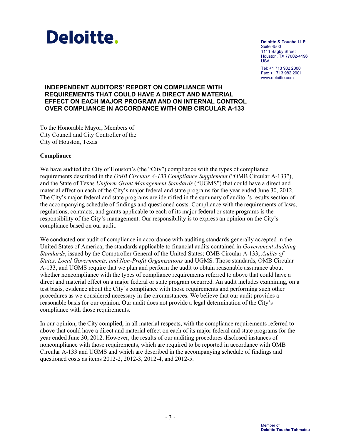

**Deloitte & Touche LLP** Suite 4500 1111 Bagby Street Houston, TX 77002-4196 USA

Tel: +1 713 982 2000 Fax: +1 713 982 2001 <www.deloitte.com>

# **INDEPENDENT AUDITORS' REPORT ON COMPLIANCE WITH REQUIREMENTS THAT COULD HAVE A DIRECT AND MATERIAL EFFECT ON EACH MAJOR PROGRAM AND ON INTERNAL CONTROL OVER COMPLIANCE IN ACCORDANCE WITH OMB CIRCULAR A-133**

To the Honorable Mayor, Members of City Council and City Controller of the City of Houston, Texas

# **Compliance**

We have audited the City of Houston's (the "City") compliance with the types of compliance requirements described in the *OMB Circular A-133 Compliance Supplement* ("OMB Circular A-133"), and the State of Texas *Uniform Grant Management Standards* ("UGMS") that could have a direct and material effect on each of the City's major federal and state programs for the year ended June 30, 2012. The City's major federal and state programs are identified in the summary of auditor's results section of the accompanying schedule of findings and questioned costs. Compliance with the requirements of laws, regulations, contracts, and grants applicable to each of its major federal or state programs is the responsibility of the City's management. Our responsibility is to express an opinion on the City's compliance based on our audit.

We conducted our audit of compliance in accordance with auditing standards generally accepted in the United States of America; the standards applicable to financial audits contained in *Government Auditing Standards*, issued by the Comptroller General of the United States; OMB Circular A-133, *Audits of States, Local Governments, and Non-Profit Organizations* and UGMS. Those standards, OMB Circular A-133, and UGMS require that we plan and perform the audit to obtain reasonable assurance about whether noncompliance with the types of compliance requirements referred to above that could have a direct and material effect on a major federal or state program occurred. An audit includes examining, on a test basis, evidence about the City's compliance with those requirements and performing such other procedures as we considered necessary in the circumstances. We believe that our audit provides a reasonable basis for our opinion. Our audit does not provide a legal determination of the City's compliance with those requirements.

In our opinion, the City complied, in all material respects, with the compliance requirements referred to above that could have a direct and material effect on each of its major federal and state programs for the year ended June 30, 2012. However, the results of our auditing procedures disclosed instances of noncompliance with those requirements, which are required to be reported in accordance with OMB Circular A-133 and UGMS and which are described in the accompanying schedule of findings and questioned costs as items 2012-2, 2012-3, 2012-4, and 2012-5.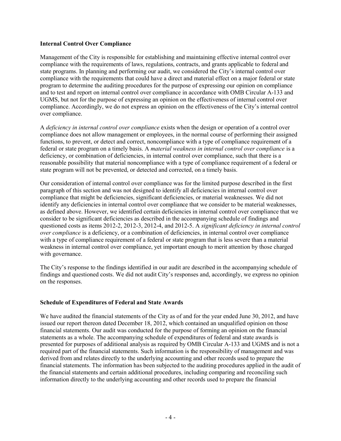# **Internal Control Over Compliance**

Management of the City is responsible for establishing and maintaining effective internal control over compliance with the requirements of laws, regulations, contracts, and grants applicable to federal and state programs. In planning and performing our audit, we considered the City's internal control over compliance with the requirements that could have a direct and material effect on a major federal or state program to determine the auditing procedures for the purpose of expressing our opinion on compliance and to test and report on internal control over compliance in accordance with OMB Circular A-133 and UGMS, but not for the purpose of expressing an opinion on the effectiveness of internal control over compliance. Accordingly, we do not express an opinion on the effectiveness of the City's internal control over compliance.

A *deficiency in internal control over compliance* exists when the design or operation of a control over compliance does not allow management or employees, in the normal course of performing their assigned functions, to prevent, or detect and correct, noncompliance with a type of compliance requirement of a federal or state program on a timely basis. A *material weakness in internal control over compliance* is a deficiency, or combination of deficiencies, in internal control over compliance, such that there is a reasonable possibility that material noncompliance with a type of compliance requirement of a federal or state program will not be prevented, or detected and corrected, on a timely basis.

Our consideration of internal control over compliance was for the limited purpose described in the first paragraph of this section and was not designed to identify all deficiencies in internal control over compliance that might be deficiencies, significant deficiencies, or material weaknesses. We did not identify any deficiencies in internal control over compliance that we consider to be material weaknesses, as defined above. However, we identified certain deficiencies in internal control over compliance that we consider to be significant deficiencies as described in the accompanying schedule of findings and questioned costs as items 2012-2, 2012-3, 2012-4, and 2012-5. A *significant deficiency in internal control over compliance* is a deficiency, or a combination of deficiencies, in internal control over compliance with a type of compliance requirement of a federal or state program that is less severe than a material weakness in internal control over compliance, yet important enough to merit attention by those charged with governance.

The City's response to the findings identified in our audit are described in the accompanying schedule of findings and questioned costs. We did not audit City's responses and, accordingly, we express no opinion on the responses.

# **Schedule of Expenditures of Federal and State Awards**

We have audited the financial statements of the City as of and for the year ended June 30, 2012, and have issued our report thereon dated December 18, 2012, which contained an unqualified opinion on those financial statements. Our audit was conducted for the purpose of forming an opinion on the financial statements as a whole. The accompanying schedule of expenditures of federal and state awards is presented for purposes of additional analysis as required by OMB Circular A-133 and UGMS and is not a required part of the financial statements. Such information is the responsibility of management and was derived from and relates directly to the underlying accounting and other records used to prepare the financial statements. The information has been subjected to the auditing procedures applied in the audit of the financial statements and certain additional procedures, including comparing and reconciling such information directly to the underlying accounting and other records used to prepare the financial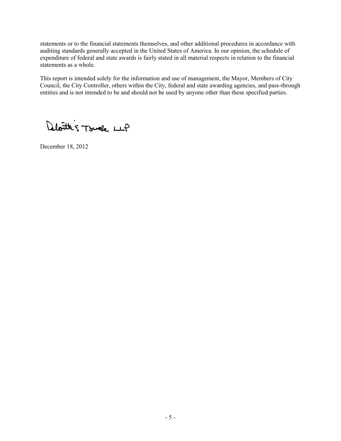statements or to the financial statements themselves, and other additional procedures in accordance with auditing standards generally accepted in the United States of America. In our opinion, the schedule of expenditure of federal and state awards is fairly stated in all material respects in relation to the financial statements as a whole.

This report is intended solely for the information and use of management, the Mayor, Members of City Council, the City Controller, others within the City, federal and state awarding agencies, and pass-through entities and is not intended to be and should not be used by anyone other than these specified parties.

Deloitte's Touch LLP

December 18, 2012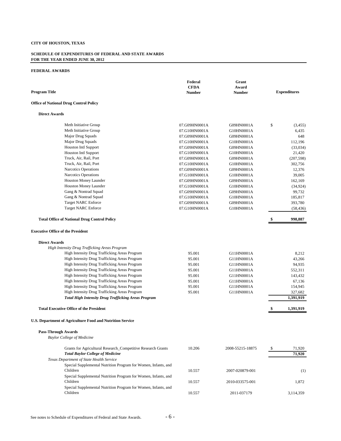#### **SCHEDULE OF EXPENDITURES OF FEDERAL AND STATE AWARDS FOR THE YEAR ENDED JUNE 30, 2012**

| <b>Program Title</b>                                                                                    | Federal<br><b>CFDA</b><br><b>Number</b> | Grant<br>Award<br><b>Number</b> |    | <b>Expenditures</b> |
|---------------------------------------------------------------------------------------------------------|-----------------------------------------|---------------------------------|----|---------------------|
| <b>Office of National Drug Control Policy</b>                                                           |                                         |                                 |    |                     |
| <b>Direct Awards</b>                                                                                    |                                         |                                 |    |                     |
| Meth Initiative Group                                                                                   | 07.G09HN0001A                           | G09HN0001A                      | \$ | (3,455)             |
| Meth Initiative Group                                                                                   | 07.G10HN0001A                           | G10HN0001A                      |    | 6,435               |
| Major Drug Squads                                                                                       | 07.G09HN0001A                           | G09HN0001A                      |    | 648                 |
| Major Drug Squads                                                                                       | 07.G10HN0001A                           | G10HN0001A                      |    | 112.196             |
| Houston Intl Support                                                                                    | 07.G09HN0001A                           | G09HN0001A                      |    | (33,034)            |
| Houston Intl Support                                                                                    | 07.G10HN0001A                           | G10HN0001A                      |    | 21,420              |
| Truck, Air, Rail, Port                                                                                  | 07.G09HN0001A                           | G09HN0001A                      |    | (207, 598)          |
| Truck, Air, Rail, Port                                                                                  | 07.G10HN0001A                           | G10HN0001A                      |    | 302,756             |
| Narcotics Operations                                                                                    | 07.G09HN0001A                           | G09HN0001A                      |    | 12,376              |
| Narcotics Operations                                                                                    | 07.G10HN0001A                           | G10HN0001A                      |    | 39,005              |
| Houston Money Launder                                                                                   | 07.G09HN0001A                           | G09HN0001A                      |    | 162,169             |
| Houston Money Launder                                                                                   | 07.G10HN0001A                           | G10HN0001A                      |    | (34, 924)           |
| Gang & Nontrad Squad                                                                                    | 07.G09HN0001A                           | G09HN0001A                      |    | 99,732              |
| Gang & Nontrad Squad                                                                                    | 07.G10HN0001A                           | G10HN0001A                      |    | 185,817             |
| <b>Target NARC Enforce</b>                                                                              | 07.G09HN0001A                           | G09HN0001A                      |    | 393,780             |
| <b>Target NARC Enforce</b>                                                                              | 07.G10HN0001A                           | G10HN0001A                      |    | (58, 436)           |
| <b>Total Office of National Drug Control Policy</b>                                                     |                                         |                                 |    | 998,887             |
| <b>Executive Office of the President</b>                                                                |                                         |                                 |    |                     |
| <b>Direct Awards</b>                                                                                    |                                         |                                 |    |                     |
| High Intensity Drug Trafficking Areas Program                                                           |                                         |                                 |    |                     |
| High Intensity Drug Trafficking Areas Program                                                           | 95.001                                  | G11HN0001A                      |    | 8,212               |
| High Intensity Drug Trafficking Areas Program                                                           | 95.001                                  | G11HN0001A                      |    | 43,266              |
| High Intensity Drug Trafficking Areas Program                                                           | 95.001                                  | G11HN0001A                      |    | 94,935              |
| High Intensity Drug Trafficking Areas Program                                                           | 95.001                                  | G11HN0001A                      |    | 552,311             |
| High Intensity Drug Trafficking Areas Program                                                           | 95.001                                  | G11HN0001A                      |    | 143,432             |
| High Intensity Drug Trafficking Areas Program                                                           | 95.001                                  | G11HN0001A                      |    | 67,136              |
| High Intensity Drug Trafficking Areas Program                                                           | 95.001                                  | G11HN0001A                      |    | 154,945             |
| High Intensity Drug Trafficking Areas Program                                                           | 95.001                                  | G11HN0001A                      |    | 327,682             |
| <b>Total High Intensity Drug Trafficking Areas Program</b>                                              |                                         |                                 |    | 1,391,919           |
| <b>Total Executive Office of the President</b>                                                          |                                         |                                 | \$ | 1,391,919           |
| U.S. Department of Agriculture Food and Nutrition Service                                               |                                         |                                 |    |                     |
| <b>Pass-Through Awards</b>                                                                              |                                         |                                 |    |                     |
| <b>Baylor College of Medicine</b>                                                                       |                                         |                                 |    |                     |
| Grants for Agricultural Research_Competitive Research Grants<br><b>Total Baylor College of Medicine</b> | 10.206                                  | 2008-55215-18875                | S  | 71,920<br>71,920    |
| Texas Department of State Health Service                                                                |                                         |                                 |    |                     |
| Special Supplemental Nutrition Program for Women, Infants, and                                          |                                         |                                 |    |                     |
| Children                                                                                                | 10.557                                  | 2007-020879-001                 |    | (1)                 |
| Special Supplemental Nutrition Program for Women, Infants, and                                          |                                         |                                 |    |                     |
| Children                                                                                                | 10.557                                  | 2010-033575-001                 |    | 1,872               |
| Special Supplemental Nutrition Program for Women, Infants, and                                          |                                         |                                 |    |                     |
| Children                                                                                                | 10.557                                  | 2011-037179                     |    | 3,114,359           |
|                                                                                                         |                                         |                                 |    |                     |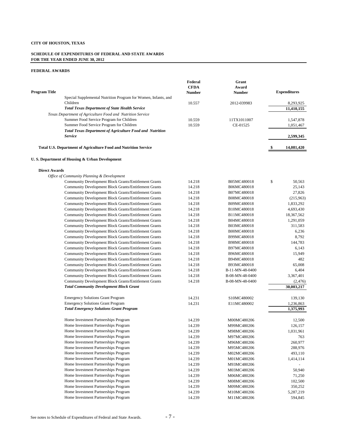#### **SCHEDULE OF EXPENDITURES OF FEDERAL AND STATE AWARDS FOR THE YEAR ENDED JUNE 30, 2012**

| <b>Program Title</b>                                                       | Federal<br><b>CFDA</b><br>Number | Grant<br>Award<br>Number | <b>Expenditures</b> |
|----------------------------------------------------------------------------|----------------------------------|--------------------------|---------------------|
| Special Supplemental Nutrition Program for Women, Infants, and             |                                  |                          |                     |
| Children                                                                   | 10.557                           | 2012-039983              | 8,293,925           |
| <b>Total Texas Department of State Health Service</b>                      |                                  |                          | 11,410,155          |
| Texas Department of Agriculture Food and Nutrition Service                 |                                  |                          |                     |
| Summer Food Service Program for Children                                   | 10.559                           | 11TX1011007              | 1,547,878           |
| Summer Food Service Program for Children                                   | 10.559                           | CE-01525                 | 1,051,467           |
| <b>Total Texas Department of Agriculture Food and Nutrition</b><br>Service |                                  |                          | 2,599,345           |
|                                                                            |                                  |                          |                     |
| Total U.S. Department of Agriculture Food and Nutrition Service            |                                  |                          | \$<br>14,081,420    |
| U.S. Department of Housing & Urban Development                             |                                  |                          |                     |
| <b>Direct Awards</b>                                                       |                                  |                          |                     |
| Office of Community Planning & Development                                 |                                  |                          |                     |
| Community Development Block Grants/Entitlement Grants                      | 14.218                           | B05MC480018              | \$<br>50,563        |
| <b>Community Development Block Grants/Entitlement Grants</b>               | 14.218                           | B06MC480018              | 25,143              |
| Community Development Block Grants/Entitlement Grants                      | 14.218                           | B07MC480018              | 27,826              |
| Community Development Block Grants/Entitlement Grants                      | 14.218                           | B08MC480018              | (215,963)           |
| Community Development Block Grants/Entitlement Grants                      | 14.218                           | B09MC480018              | 1,833,292           |
| Community Development Block Grants/Entitlement Grants                      | 14.218                           | B10MC480018              | 4,693,430           |
| Community Development Block Grants/Entitlement Grants                      | 14.218                           | B11MC480018              | 18,367,562          |
| Community Development Block Grants/Entitlement Grants                      | 14.218                           | B04MC480018              | 1,291,059           |
| Community Development Block Grants/Entitlement Grants                      | 14.218                           | B03MC480018              | 311,583             |
| Community Development Block Grants/Entitlement Grants                      | 14.218                           | B00MC480018              | 6,236               |
| Community Development Block Grants/Entitlement Grants                      | 14.218                           | B99MC480018              | 8,792               |
| Community Development Block Grants/Entitlement Grants                      | 14.218                           | B98MC480018              | 144,783             |
| Community Development Block Grants/Entitlement Grants                      | 14.218                           | B97MC480018              | 6,143               |
| Community Development Block Grants/Entitlement Grants                      | 14.218                           | B96MC480018              | 15,949              |
| Community Development Block Grants/Entitlement Grants                      | 14.218                           | B94MC480018              | 482                 |
| Community Development Block Grants/Entitlement Grants                      | 14.218                           | B93MC480018              | 65,008              |
| Community Development Block Grants/Entitlement Grants                      | 14.218                           | B-11-MN-48-0400          | 6,404               |
| Community Development Block Grants/Entitlement Grants                      | 14.218                           | B-08-MN-48-0400          | 3,367,401           |
| Community Development Block Grants/Entitlement Grants                      | 14.218                           | B-08-MN-48-0400          | (2, 476)            |
| <b>Total Community Development Block Grant</b>                             |                                  |                          | 30,003,217          |
|                                                                            |                                  |                          |                     |
| <b>Emergency Solutions Grant Program</b>                                   | 14.231                           | S10MC480002              | 139,130             |
| <b>Emergency Solutions Grant Program</b>                                   | 14.231                           | E11MC480002              | 1,236,863           |
| <b>Total Emergency Solutions Grant Program</b>                             |                                  |                          | 1,375,993           |
| Home Investment Partnerships Program                                       | 14.239                           | M00MC480206              | 12.500              |
| Home Investment Partnerships Program                                       | 14.239                           | M99MC480206              | 126,157             |
| Home Investment Partnerships Program                                       | 14.239                           | M98MC480206              | 1,031,961           |
| Home Investment Partnerships Program                                       | 14.239                           | M97MC480206              | 763                 |
| Home Investment Partnerships Program                                       | 14.239                           | M96MC480206              | 260,977             |
| Home Investment Partnerships Program                                       | 14.239                           | M95MC480206              | 288,976             |
| Home Investment Partnerships Program                                       | 14.239                           | M02MC480206              | 493,110             |
| Home Investment Partnerships Program                                       | 14.239                           | M01MC480206              | 1,414,114           |
| Home Investment Partnerships Program                                       | 14.239                           | M93MC480206              |                     |
| Home Investment Partnerships Program                                       | 14.239                           | M03MC480206              | 50,940              |
| Home Investment Partnerships Program                                       | 14.239                           | M06MC480206              | 71,250              |
| Home Investment Partnerships Program                                       | 14.239                           | M08MC480206              | 102,500             |
| Home Investment Partnerships Program                                       | 14.239                           | M09MC480206              | 350,252             |
| Home Investment Partnerships Program                                       | 14.239                           | M10MC480206              | 5,287,219           |
| Home Investment Partnerships Program                                       | 14.239                           | M11MC480206              | 594,845             |
|                                                                            |                                  |                          |                     |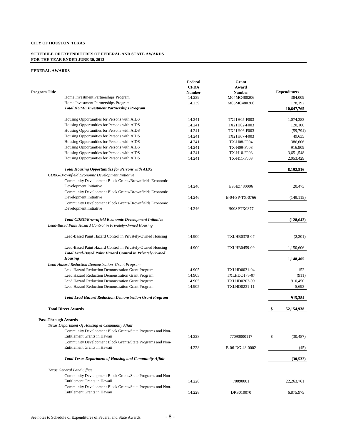#### **SCHEDULE OF EXPENDITURES OF FEDERAL AND STATE AWARDS FOR THE YEAR ENDED JUNE 30, 2012**

|                            |                                                                                            | Federal     | Grant               |                          |
|----------------------------|--------------------------------------------------------------------------------------------|-------------|---------------------|--------------------------|
|                            |                                                                                            | <b>CFDA</b> | Award               |                          |
| Program Title              |                                                                                            | Number      | <b>Number</b>       | <b>Expenditures</b>      |
|                            | Home Investment Partnerships Program                                                       | 14.239      | M04MC480206         | 384,009                  |
|                            | Home Investment Partnerships Program                                                       | 14.239      | M05MC480206         | 178,192                  |
|                            | <b>Total HOME Investment Partnerships Program</b>                                          |             |                     | 10,647,765               |
|                            | Housing Opportunities for Persons with AIDS                                                | 14.241      | TX21H05-F003        | 1,074,383                |
|                            | Housing Opportunities for Persons with AIDS                                                | 14.241      | TX21H02-F003        | 120,100                  |
|                            | Housing Opportunities for Persons with AIDS                                                | 14.241      | TX21H06-F003        | (59, 794)                |
|                            | Housing Opportunities for Persons with AIDS                                                | 14.241      | TX21H07-F003        | 49,635                   |
|                            | Housing Opportunities for Persons with AIDS                                                | 14.241      | <b>TX-H08-F004</b>  | 386,606                  |
|                            | Housing Opportunities for Persons with AIDS                                                | 14.241      | TX-H09-F003         | 916,909                  |
|                            | Housing Opportunities for Persons with AIDS                                                | 14.241      | TX-H10-F003         | 3,651,548                |
|                            | Housing Opportunities for Persons with AIDS                                                | 14.241      | TX-H11-F003         | 2,053,429                |
|                            |                                                                                            |             |                     |                          |
|                            | <b>Total Housing Opportunities for Persons with AIDS</b>                                   |             |                     | 8,192,816                |
|                            | CDBG/Brownfield Economic Development Initiative                                            |             |                     |                          |
|                            | Community Development Block Grants/Brownfields Economic                                    |             |                     |                          |
|                            | Development Initiative                                                                     | 14.246      | E95EZ480006         | 20,473                   |
|                            | Community Development Block Grants/Brownfields Economic                                    |             |                     |                          |
|                            | Development Initiative                                                                     | 14.246      | B-04-SP-TX-0766     | (149, 115)               |
|                            | Community Development Block Grants/Brownfields Economic                                    |             |                     |                          |
|                            | Development Initiative                                                                     | 14.246      | B00SPTX0377         | $\overline{\phantom{a}}$ |
|                            | <b>Total CDBG/Brownfield Economic Development Initiative</b>                               |             |                     | (128, 642)               |
|                            | Lead-Based Paint Hazard Control in Privately-Owned Housing                                 |             |                     |                          |
|                            | Lead-Based Paint Hazard Control in Privately-Owned Housing                                 | 14.900      | TXLHB0378-07        | (2,201)                  |
|                            | Lead-Based Paint Hazard Control in Privately-Owned Housing                                 | 14.900      | TXLHB0459-09        | 1,150,606                |
|                            | Total Lead-Based Paint Hazard Control in Privately Owned                                   |             |                     |                          |
|                            | <b>Housing</b>                                                                             |             |                     | 1,148,405                |
|                            | Lead Hazard Reduction Demonstration Grant Program                                          |             |                     |                          |
|                            | Lead Hazard Reduction Demonstration Grant Program                                          | 14.905      | <b>TXLHD0031-04</b> | 152                      |
|                            | Lead Hazard Reduction Demonstration Grant Program                                          | 14.905      | <b>TXLHDO175-07</b> | (911)                    |
|                            | Lead Hazard Reduction Demonstration Grant Program                                          | 14.905      | <b>TXLHD0202-09</b> | 910,450                  |
|                            | Lead Hazard Reduction Demonstration Grant Program                                          | 14.905      | TXLHD0231-11        | 5,693                    |
|                            | <b>Total Lead Hazard Reduction Demonstration Grant Program</b>                             |             |                     | 915,384                  |
|                            |                                                                                            |             |                     |                          |
|                            | <b>Total Direct Awards</b>                                                                 |             |                     | \$<br>52,154,938         |
| <b>Pass-Through Awards</b> |                                                                                            |             |                     |                          |
|                            | Texas Department Of Housing & Community Affair                                             |             |                     |                          |
|                            | Community Development Block Grants/State Programs and Non-                                 |             |                     |                          |
|                            | Entitlement Grants in Hawaii                                                               | 14.228      | 77090000117         | \$<br>(30, 487)          |
|                            | Community Development Block Grants/State Programs and Non-                                 |             |                     |                          |
|                            | Entitlement Grants in Hawaii                                                               | 14.228      | B-06-DG-48-0002     | (45)                     |
|                            | <b>Total Texas Department of Housing and Community Affair</b>                              |             |                     | (30, 532)                |
|                            |                                                                                            |             |                     |                          |
|                            | Texas General Land Office                                                                  |             |                     |                          |
|                            | Community Development Block Grants/State Programs and Non-                                 |             |                     |                          |
|                            | Entitlement Grants in Hawaii                                                               | 14.228      | 70090001            | 22, 263, 761             |
|                            | Community Development Block Grants/State Programs and Non-<br>Entitlement Grants in Hawaii |             |                     |                          |
|                            |                                                                                            | 14.228      | DRS010070           | 6,875,975                |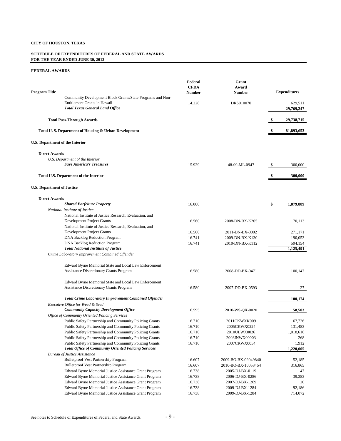#### **SCHEDULE OF EXPENDITURES OF FEDERAL AND STATE AWARDS FOR THE YEAR ENDED JUNE 30, 2012**

| Program Title                          |                                                                                                                  | Federal<br><b>CFDA</b><br>Number | Grant<br>Award<br><b>Number</b>    |     | <b>Expenditures</b> |
|----------------------------------------|------------------------------------------------------------------------------------------------------------------|----------------------------------|------------------------------------|-----|---------------------|
|                                        | Community Development Block Grants/State Programs and Non-<br>Entitlement Grants in Hawaii                       | 14.228                           | DRS010070                          |     | 629,511             |
|                                        | <b>Total Texas General Land Office</b>                                                                           |                                  |                                    |     | 29,769,247          |
|                                        | <b>Total Pass-Through Awards</b>                                                                                 |                                  |                                    | \$, | 29,738,715          |
|                                        | Total U.S. Department of Housing & Urban Development                                                             |                                  |                                    |     | 81,893,653          |
| <b>U.S. Department of the Interior</b> |                                                                                                                  |                                  |                                    |     |                     |
| <b>Direct Awards</b>                   |                                                                                                                  |                                  |                                    |     |                     |
|                                        | U.S. Department of the Interior                                                                                  |                                  |                                    |     |                     |
|                                        | <b>Save America's Treasures</b>                                                                                  | 15.929                           | 48-09-ML-0947                      | S   | 300,000             |
|                                        | <b>Total U.S. Department of the Interior</b>                                                                     |                                  |                                    |     | 300,000             |
| <b>U.S. Department of Justice</b>      |                                                                                                                  |                                  |                                    |     |                     |
| <b>Direct Awards</b>                   |                                                                                                                  |                                  |                                    |     |                     |
|                                        | <b>Shared Forfeiture Property</b>                                                                                | 16.000                           |                                    | \$  | 1,879,889           |
|                                        | National Institute of Justice                                                                                    |                                  |                                    |     |                     |
|                                        | National Institute of Justice Research, Evaluation, and                                                          |                                  |                                    |     |                     |
|                                        | Development Project Grants                                                                                       | 16.560                           | 2008-DN-BX-K205                    |     | 70,113              |
|                                        | National Institute of Justice Research, Evaluation, and                                                          |                                  |                                    |     |                     |
|                                        | Development Project Grants                                                                                       | 16.560                           | 2011-DN-BX-0002                    |     | 271,171             |
|                                        | <b>DNA Backlog Reduction Program</b>                                                                             | 16.741                           | 2009-DN-BX-K130                    |     | 190,053             |
|                                        | <b>DNA Backlog Reduction Program</b>                                                                             | 16.741                           | 2010-DN-BX-K112                    |     | 594,154             |
|                                        | <b>Total National Institute of Justice</b>                                                                       |                                  |                                    |     | 1,125,491           |
|                                        | Crime Laboratory Improvement Combined Offender                                                                   |                                  |                                    |     |                     |
|                                        | Edward Byrne Memorial State and Local Law Enforcement                                                            |                                  |                                    |     |                     |
|                                        | <b>Assistance Discretionary Grants Program</b>                                                                   | 16.580                           | 2008-DD-BX-0471                    |     | 100,147             |
|                                        |                                                                                                                  |                                  |                                    |     |                     |
|                                        | Edward Byrne Memorial State and Local Law Enforcement                                                            |                                  |                                    |     |                     |
|                                        | <b>Assistance Discretionary Grants Program</b>                                                                   | 16.580                           | 2007-DD-BX-0593                    |     | 27                  |
|                                        | <b>Total Crime Laboratory Improvement Combined Offender</b>                                                      |                                  |                                    |     | 100,174             |
|                                        | Executive Office for Weed & Seed                                                                                 |                                  |                                    |     |                     |
|                                        | <b>Community Capacity Development Office</b>                                                                     | 16.595                           | 2010-WS-QX-0020                    |     | 58,503              |
|                                        | Office of Community Oriented Policing Services                                                                   |                                  |                                    |     |                     |
|                                        | Public Safety Partnership and Community Policing Grants                                                          | 16.710                           | 2011CKWXK009                       |     | 67,726              |
|                                        | Public Safety Partnership and Community Policing Grants                                                          | 16.710                           | 2005CKWX0224                       |     | 131,483             |
|                                        | Public Safety Partnership and Community Policing Grants                                                          | 16.710                           | 2010ULWX0026                       |     | 1,018,616           |
|                                        | Public Safety Partnership and Community Policing Grants                                                          | 16.710                           | 2003INWX00003                      |     | 268                 |
|                                        | Public Safety Partnership and Community Policing Grants                                                          | 16.710                           | 2007CKWX0054                       |     | 1,912               |
|                                        | <b>Total Office of Community Oriented Policing Services</b>                                                      |                                  |                                    |     | 1,220,005           |
|                                        | <b>Bureau of Justice Assistance</b>                                                                              |                                  |                                    |     |                     |
|                                        | Bulletproof Vest Partnership Program<br><b>Bulletproof Vest Partnership Program</b>                              | 16.607                           | 2009-BO-BX-09049840                |     | 52,185              |
|                                        |                                                                                                                  | 16.607<br>16.738                 | 2010-BO-BX-10053454                |     | 316,865             |
|                                        | Edward Byrne Memorial Justice Assistance Grant Program                                                           |                                  | 2005-DJ-BX-0119<br>2006-DJ-BX-0286 |     | 47<br>39,383        |
|                                        | Edward Byrne Memorial Justice Assistance Grant Program<br>Edward Byrne Memorial Justice Assistance Grant Program | 16.738<br>16.738                 | 2007-DJ-BX-1269                    |     | 20                  |
|                                        | Edward Byrne Memorial Justice Assistance Grant Program                                                           | 16.738                           | 2009-DJ-BX-1284                    |     | 92,186              |
|                                        | Edward Byrne Memorial Justice Assistance Grant Program                                                           | 16.738                           | 2009-DJ-BX-1284                    |     | 714,072             |
|                                        |                                                                                                                  |                                  |                                    |     |                     |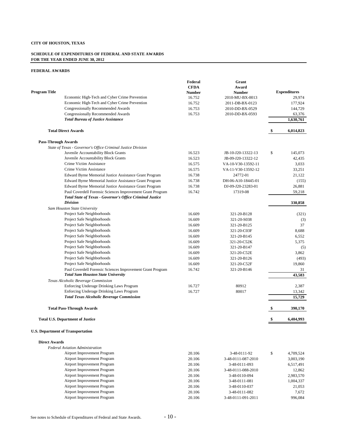#### **SCHEDULE OF EXPENDITURES OF FEDERAL AND STATE AWARDS FOR THE YEAR ENDED JUNE 30, 2012**

#### **FEDERAL AWARDS**

|                            |                                                                                                         | Federal       | Grant              |                     |
|----------------------------|---------------------------------------------------------------------------------------------------------|---------------|--------------------|---------------------|
|                            |                                                                                                         | <b>CFDA</b>   | Award              |                     |
| <b>Program Title</b>       |                                                                                                         | <b>Number</b> | <b>Number</b>      | <b>Expenditures</b> |
|                            | Economic High-Tech and Cyber Crime Prevention                                                           | 16.752        | 2010-MU-BX-0013    | 29,974              |
|                            | Economic High-Tech and Cyber Crime Prevention<br><b>Congressionally Recommended Awards</b>              | 16.752        | 2011-DB-BX-0123    | 177,924             |
|                            | Congressionally Recommended Awards                                                                      | 16.753        | 2010-DD-BX-0529    | 144,729             |
|                            | <b>Total Bureau of Justice Assistance</b>                                                               | 16.753        | 2010-DD-BX-0593    | 63,376<br>1,630,761 |
|                            |                                                                                                         |               |                    |                     |
|                            | <b>Total Direct Awards</b>                                                                              |               |                    | \$<br>6,014,823     |
| <b>Pass-Through Awards</b> |                                                                                                         |               |                    |                     |
|                            | State of Texas - Governor's Office Criminal Justice Division                                            |               |                    |                     |
|                            | Juvenile Accountability Block Grants                                                                    | 16.523        | JB-10-J20-13322-13 | \$<br>145,073       |
|                            | Juvenile Accountability Block Grants                                                                    | 16.523        | JB-09-J20-13322-12 | 42,435              |
|                            | Crime Victim Assistance                                                                                 | 16.575        | VA-10-V30-13592-11 | 3,033               |
|                            | Crime Victim Assistance                                                                                 | 16.575        | VA-11-V30-13592-12 | 33,251              |
|                            | Edward Byrne Memorial Justice Assistance Grant Program                                                  | 16.738        | 24772-01           | 21,122              |
|                            | Edward Byrne Memorial Justice Assistance Grant Program                                                  | 16.738        | DH-06-A10-18445-01 | (155)               |
|                            | Edward Byrne Memorial Justice Assistance Grant Program                                                  | 16.738        | DJ-09-J20-23283-01 | 26,881              |
|                            | Paul Coverdell Forensic Sciences Improvement Grant Program                                              | 16.742        | 17319-08           | 59,218              |
|                            | Total State of Texas - Governor's Office Criminal Justice<br><b>Division</b>                            |               |                    | 330,858             |
|                            | Sam Houston State University                                                                            |               |                    |                     |
|                            | Project Safe Neighborhoods                                                                              | 16.609        | 321-20-B128        | (321)               |
|                            | Project Safe Neighborhoods                                                                              | 16.609        | 321-20-S038        | (3)                 |
|                            | Project Safe Neighborhoods                                                                              | 16.609        | 321-20-B125        | 37                  |
|                            | Project Safe Neighborhoods                                                                              | 16.609        | 321-20-C03F        | 8,688               |
|                            | Project Safe Neighborhoods                                                                              | 16.609        | 321-20-B145        | 6,552               |
|                            | Project Safe Neighborhoods                                                                              | 16.609        | 321-20-C52K        | 5,375               |
|                            | Project Safe Neighborhoods                                                                              | 16.609        | 321-20-B147        | (5)                 |
|                            | Project Safe Neighborhoods                                                                              | 16.609        | 321-20-C52E        | 3,862               |
|                            | Project Safe Neighborhoods                                                                              | 16.609        | 321-20-B126        | (493)               |
|                            | Project Safe Neighborhoods                                                                              | 16.609        | 321-20-C52F        | 19,860              |
|                            | Paul Coverdell Forensic Sciences Improvement Grant Program<br><b>Total Sam Houston State University</b> | 16.742        | 321-20-B146        | 31<br>43,583        |
|                            | Texas Alcoholic Beverage Commission                                                                     |               |                    |                     |
|                            | Enforcing Underage Drinking Laws Program                                                                | 16.727        | 80912              | 2,387               |
|                            | Enforcing Underage Drinking Laws Program                                                                | 16.727        | 80017              | 13,342              |
|                            | <b>Total Texas Alcoholic Beverage Commission</b>                                                        |               |                    | 15,729              |
|                            | <b>Total Pass-Through Awards</b>                                                                        |               |                    | \$<br>390.170       |
|                            | <b>Total U.S. Department of Justice</b>                                                                 |               |                    | 6,404,993           |
|                            | <b>U.S. Department of Transportation</b>                                                                |               |                    |                     |
| <b>Direct Awards</b>       |                                                                                                         |               |                    |                     |
|                            | <b>Federal Aviation Administration</b>                                                                  |               |                    |                     |
|                            | Airport Improvement Program                                                                             | 20.106        | 3-48-0111-92       | \$<br>4,709,524     |
|                            | Airport Improvement Program                                                                             | 20.106        | 3-48-0111-087-2010 | 3,003,190           |
|                            | Airport Improvement Program                                                                             | 20.106        | 3-48-0111-093      | 6,517,491           |
|                            | Airport Improvement Program                                                                             | 20.106        | 3-48-0111-088-2010 | 12,862              |
|                            | Airport Improvement Program                                                                             | 20.106        | 3-48-0110-094      | 2,983,570           |
|                            | Airport Improvement Program                                                                             | 20.106        | 3-48-0111-081      | 1,004,337           |
|                            | Airport Improvement Program                                                                             | 20.106        | 3-48-0110-037      | 21,053              |
|                            | Airport Improvement Program                                                                             | 20.106        | 3-48-0111-082      | 7,672               |

Airport Improvement Program

Airport Improvement Program 20.106 3-48-0111-082 7,672<br>Airport Improvement Program 20.106 3-48-0111-091-2011 996,084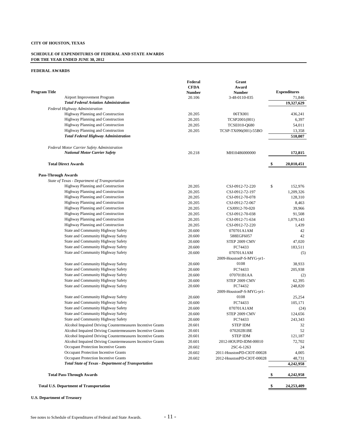#### **SCHEDULE OF EXPENDITURES OF FEDERAL AND STATE AWARDS FOR THE YEAR ENDED JUNE 30, 2012**

#### **FEDERAL AWARDS**

|                                                                                  | Federal     | Grant                     |                     |
|----------------------------------------------------------------------------------|-------------|---------------------------|---------------------|
|                                                                                  | <b>CFDA</b> | Award                     |                     |
| <b>Program Title</b>                                                             | Number      | <b>Number</b>             | <b>Expenditures</b> |
| Airport Improvement Program<br><b>Total Federal Aviation Administration</b>      | 20.106      | 3-48-0110-035             | 71,846              |
|                                                                                  |             |                           | 19,327,629          |
| Federal Highway Administration<br>Highway Planning and Construction              |             |                           |                     |
| Highway Planning and Construction                                                | 20.205      | 06TX001                   | 436,241             |
|                                                                                  | 20.205      | TCSP2001(001)             | 6,397               |
| Highway Planning and Construction                                                | 20.205      | <b>TCSE010-Q680</b>       | 54,011              |
| Highway Planning and Construction<br><b>Total Federal Highway Administration</b> | 20.205      | TCSP-TX096(001)-55BO      | 13,358              |
|                                                                                  |             |                           | 510,007             |
| <b>Federal Motor Carrier Safety Administration</b>                               |             |                           |                     |
| <b>National Motor Carrier Safety</b>                                             | 20.218      | MH10486000000             | 172,815             |
| <b>Total Direct Awards</b>                                                       |             |                           | \$<br>20,010,451    |
| <b>Pass-Through Awards</b>                                                       |             |                           |                     |
| State of Texas - Department of Transportation                                    |             |                           |                     |
| Highway Planning and Construction                                                | 20.205      | CSJ-0912-72-220           | \$<br>152,976       |
| Highway Planning and Construction                                                | 20.205      | CSJ-0912-72-197           | 1,209,326           |
| Highway Planning and Construction                                                | 20.205      | CSJ-0912-70-078           | 128,310             |
| <b>Highway Planning and Construction</b>                                         | 20.205      | CSJ-0912-72-067           | 8,463               |
| Highway Planning and Construction                                                | 20.205      | CSJ0912-70-020            | 39,966              |
| Highway Planning and Construction                                                | 20.205      | CSJ-0912-70-038           | 91,508              |
| Highway Planning and Construction                                                | 20.205      | CSJ-0912-71-634           | 1,079,143           |
| Highway Planning and Construction                                                | 20.205      | CSJ-0912-72-220           | 1,439               |
| State and Community Highway Safety                                               | 20.600      | 070701A1AM                | 42                  |
| State and Community Highway Safety                                               | 20.600      | 588EGF6057                | 42                  |
| State and Community Highway Safety                                               | 20.600      | STEP 2009 CMV             | 47,020              |
| State and Community Highway Safety                                               | 20.600      | FC74433                   | 183,511             |
| State and Community Highway Safety                                               | 20.600      | 070701A1AM                | (5)                 |
|                                                                                  |             | 2009-HoustonP-S-MYG-yr1-  |                     |
| State and Community Highway Safety                                               | 20.600      | 0108                      | 38,933              |
| State and Community Highway Safety                                               | 20.600      | FC74433                   | 205,938             |
| State and Community Highway Safety                                               | 20.600      | 070701B1AA                | (2)                 |
| State and Community Highway Safety                                               | 20.600      | STEP 2009 CMV             | 62,395              |
| State and Community Highway Safety                                               | 20.600      | FC74432                   | 248,820             |
|                                                                                  |             | 2009-HoustonP-S-MYG-yr1-  |                     |
| State and Community Highway Safety                                               | 20.600      | 0108                      | 25,254              |
| State and Community Highway Safety                                               | 20.600      | FC74433                   | 105,171             |
| State and Community Highway Safety                                               | 20.600      | 070701A1AM                | (24)                |
| State and Community Highway Safety                                               | 20.600      | STEP 2009 CMV             | 124,656             |
| State and Community Highway Safety                                               | 20.600      | FC74433                   | 243,343             |
| Alcohol Impaired Driving Countermeasures Incentive Grants                        | 20.601      | <b>STEP IDM</b>           | 32                  |
| Alcohol Impaired Driving Countermeasures Incentive Grants                        | 20.601      | 070202B1BE                | 52                  |
| Alcohol Impaired Driving Countermeasures Incentive Grants                        | 20.601      | <b>STEP IDM</b>           | 121,187             |
| Alcohol Impaired Driving Countermeasures Incentive Grants                        | 20.601      | 2012-HOUPD-IDM-00010      | 72,702              |
| Occupant Protection Incentive Grants                                             | 20.602      | 2SC-6-1263                | 24                  |
| Occupant Protection Incentive Grants                                             | 20.602      | 2011-HoustonPD-CIOT-00028 | 4,005               |
| <b>Occupant Protection Incentive Grants</b>                                      | 20.602      | 2012-HoustonPD-CIOT-00028 |                     |
| <b>Total State of Texas - Department of Transportation</b>                       |             |                           | 48,731<br>4,242,958 |
|                                                                                  |             |                           |                     |
| <b>Total Pass-Through Awards</b>                                                 |             |                           | 4,242,958           |
| <b>Total U.S. Department of Transportation</b>                                   |             |                           | 24,253,409          |

#### **U.S. Department of Treasury**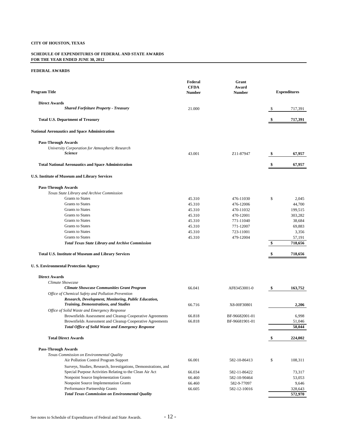#### **SCHEDULE OF EXPENDITURES OF FEDERAL AND STATE AWARDS FOR THE YEAR ENDED JUNE 30, 2012**

| <b>Program Title</b>                                            | Federal<br><b>CFDA</b><br><b>Number</b> | Grant<br>Award<br><b>Number</b> | <b>Expenditures</b> |
|-----------------------------------------------------------------|-----------------------------------------|---------------------------------|---------------------|
| <b>Direct Awards</b>                                            |                                         |                                 |                     |
| <b>Shared Forfeiture Property - Treasury</b>                    | 21.000                                  |                                 | \$<br>717,391       |
| <b>Total U.S. Department of Treasury</b>                        |                                         |                                 | \$<br>717,391       |
| <b>National Aeronautics and Space Administration</b>            |                                         |                                 |                     |
| <b>Pass-Through Awards</b>                                      |                                         |                                 |                     |
| University Corporation for Atmospheric Research                 |                                         |                                 |                     |
| <b>Science</b>                                                  | 43.001                                  | Z <sub>11</sub> -87947          | \$<br>67,957        |
| <b>Total National Aeronautics and Space Administration</b>      |                                         |                                 | \$<br>67,957        |
| U.S. Institute of Museum and Library Services                   |                                         |                                 |                     |
| <b>Pass-Through Awards</b>                                      |                                         |                                 |                     |
| Texas State Library and Archive Commission                      |                                         |                                 |                     |
| <b>Grants to States</b>                                         | 45.310                                  | 476-11030                       | \$<br>2,045         |
| <b>Grants</b> to States                                         | 45.310                                  | 476-12006                       | 44,700              |
| <b>Grants</b> to States                                         | 45.310                                  | 470-11032                       | 199,515             |
| <b>Grants</b> to States                                         | 45.310                                  | 470-12001                       | 303,282             |
| <b>Grants</b> to States                                         | 45.310                                  | 771-11040                       | 38,684              |
| <b>Grants</b> to States                                         | 45.310                                  | 771-12007                       | 69,883              |
| <b>Grants</b> to States                                         | 45.310                                  | 723-11001                       | 3,356               |
| <b>Grants</b> to States                                         | 45.310                                  | 479-12004                       | 57,191              |
| <b>Total Texas State Library and Archive Commission</b>         |                                         |                                 | \$<br>718,656       |
| <b>Total U.S. Institute of Museum and Library Services</b>      |                                         |                                 | 718,656             |
| <b>U.S. Environmental Protection Agency</b>                     |                                         |                                 |                     |
| <b>Direct Awards</b>                                            |                                         |                                 |                     |
| Climate Showcase                                                |                                         |                                 |                     |
| <b>Climate Showcase Communities Grant Program</b>               | 66.041                                  | AF83453001-0                    | \$<br>163,752       |
| Office of Chemical Safety and Pollution Prevention              |                                         |                                 |                     |
| Research, Development, Monitoring, Public Education,            |                                         |                                 |                     |
| <b>Training, Demonstrations, and Studies</b>                    | 66.716                                  | X8-00F30801                     | 2,206               |
| Office of Solid Waste and Emergency Response                    |                                         |                                 |                     |
| Brownfields Assessment and Cleanup Cooperative Agreements       | 66.818                                  | BF-96682001-01                  | 6,998               |
| Brownfields Assessment and Cleanup Cooperative Agreements       | 66.818                                  | BF-96681901-01                  | 51,046              |
| <b>Total Office of Solid Waste and Emergency Response</b>       |                                         |                                 | 58,044              |
| <b>Total Direct Awards</b>                                      |                                         |                                 | \$<br>224,002       |
| <b>Pass-Through Awards</b>                                      |                                         |                                 |                     |
| Texas Commission on Environmental Quality                       |                                         |                                 |                     |
| Air Pollution Control Program Support                           | 66.001                                  | 582-10-86413                    | \$<br>108,311       |
| Surveys, Studies, Research, Investigations, Demonstrations, and |                                         |                                 |                     |
| Special Purpose Activities Relating to the Clean Air Act        | 66.034                                  | 582-11-86422                    | 73,317              |
| Nonpoint Source Implementation Grants                           | 66.460                                  | 582-10-90464                    | 53,053              |
| Nonpoint Source Implementation Grants                           | 66.460                                  | 582-9-77097                     | 9,646               |
| Performance Partnership Grants                                  | 66.605                                  | 582-12-10016                    | 328,643             |
| <b>Total Texas Commission on Environmental Quality</b>          |                                         |                                 | 572,970             |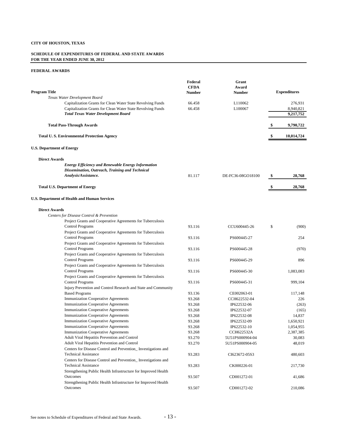#### **SCHEDULE OF EXPENDITURES OF FEDERAL AND STATE AWARDS FOR THE YEAR ENDED JUNE 30, 2012**

| <b>Program Title</b>                                                                         | Federal<br><b>CFDA</b> | Grant<br>Award      | <b>Expenditures</b> |
|----------------------------------------------------------------------------------------------|------------------------|---------------------|---------------------|
| Texas Water Development Board                                                                | <b>Number</b>          | <b>Number</b>       |                     |
| Capitalization Grants for Clean Water State Revolving Funds                                  | 66.458                 | L <sub>110062</sub> | 276,931             |
| Capitalization Grants for Clean Water State Revolving Funds                                  | 66.458                 | L100067             | 8,940,821           |
| <b>Total Texas Water Development Board</b>                                                   |                        |                     | 9,217,752           |
| <b>Total Pass-Through Awards</b>                                                             |                        |                     | \$<br>9,790,722     |
|                                                                                              |                        |                     |                     |
| <b>Total U.S. Environmental Protection Agency</b>                                            |                        |                     | \$<br>10,014,724    |
| <b>U.S. Department of Energy</b>                                                             |                        |                     |                     |
| <b>Direct Awards</b>                                                                         |                        |                     |                     |
| <b>Energy Efficiency and Renewable Energy Information</b>                                    |                        |                     |                     |
| Dissemination, Outreach, Training and Technical                                              |                        |                     |                     |
| Analysis/Assistance.                                                                         | 81.117                 | DE-FC36-08GO18100   | \$<br>28,768        |
| <b>Total U.S. Department of Energy</b>                                                       |                        |                     | 28,768              |
|                                                                                              |                        |                     |                     |
| U.S. Department of Health and Human Services                                                 |                        |                     |                     |
| <b>Direct Awards</b>                                                                         |                        |                     |                     |
| Centers for Disease Control & Prevention                                                     |                        |                     |                     |
| Project Grants and Cooperative Agreements for Tuberculosis                                   |                        |                     |                     |
| <b>Control Programs</b>                                                                      | 93.116                 | CCU600445-26        | \$<br>(900)         |
| Project Grants and Cooperative Agreements for Tuberculosis                                   |                        |                     |                     |
| <b>Control Programs</b>                                                                      | 93.116                 | PS600445-27         | 254                 |
| Project Grants and Cooperative Agreements for Tuberculosis<br><b>Control Programs</b>        | 93.116                 | PS600445-28         | (970)               |
| Project Grants and Cooperative Agreements for Tuberculosis<br><b>Control Programs</b>        | 93.116                 | PS600445-29         | 896                 |
| Project Grants and Cooperative Agreements for Tuberculosis                                   |                        |                     |                     |
| <b>Control Programs</b>                                                                      | 93.116                 | PS600445-30         | 1,083,083           |
| Project Grants and Cooperative Agreements for Tuberculosis                                   |                        |                     |                     |
| <b>Control Programs</b>                                                                      | 93.116                 | PS600445-31         | 999,104             |
| Injury Prevention and Control Research and State and Community                               |                        |                     |                     |
| <b>Based Programs</b>                                                                        | 93.136                 | CE002063-01         | 117,148             |
| Immunization Cooperative Agreements                                                          | 93.268                 | CCH622532-04        | 226                 |
| <b>Immunization Cooperative Agreements</b>                                                   | 93.268                 | IP622532-06         | (263)               |
| <b>Immunization Cooperative Agreements</b>                                                   | 93.268                 | IP622532-07         | (165)               |
| <b>Immunization Cooperative Agreements</b>                                                   | 93.268                 | IP622532-08         | 14,837              |
| <b>Immunization Cooperative Agreements</b>                                                   | 93.268                 | IP622532-09         | 1,650,921           |
| <b>Immunization Cooperative Agreements</b>                                                   | 93.268                 | IP622532-10         | 1,054,955           |
| <b>Immunization Cooperative Agreements</b>                                                   | 93.268                 | CCH622532A          | 2,387,385           |
| Adult Viral Hepatitis Prevention and Control                                                 | 93.270                 | 5U51PS000904-04     | 30,083              |
| Adult Viral Hepatitis Prevention and Control                                                 | 93.270                 | 5U51PS000904-05     | 48,019              |
| Centers for Disease Control and Prevention Investigations and<br><b>Technical Assistance</b> | 93.283                 | CI623672-05S3       | 480,603             |
| Centers for Disease Control and Prevention_Investigations and                                |                        |                     |                     |
| <b>Technical Assistance</b>                                                                  | 93.283                 | CK000226-01         | 217,730             |
| Strengthening Public Health Infrastructure for Improved Health                               |                        |                     |                     |
| Outcomes                                                                                     | 93.507                 | CD001272-01         | 41,686              |
| Strengthening Public Health Infrastructure for Improved Health                               |                        |                     |                     |
| Outcomes                                                                                     | 93.507                 | CD001272-02         | 210,086             |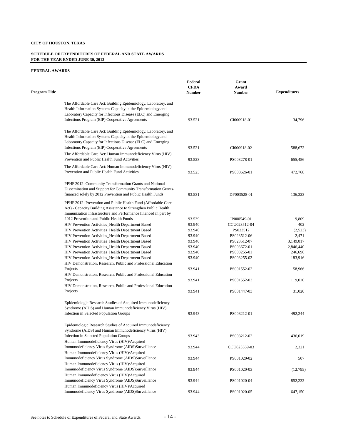#### **SCHEDULE OF EXPENDITURES OF FEDERAL AND STATE AWARDS FOR THE YEAR ENDED JUNE 30, 2012**

| <b>Program Title</b> |                                                                                                                                                                                                 | Federal<br><b>CFDA</b><br><b>Number</b> | Grant<br>Award<br><b>Number</b> | <b>Expenditures</b> |
|----------------------|-------------------------------------------------------------------------------------------------------------------------------------------------------------------------------------------------|-----------------------------------------|---------------------------------|---------------------|
|                      | The Affordable Care Act: Building Epidemiology, Laboratory, and<br>Health Information Systems Capacity in the Epidemiology and<br>Laboratory Capacity for Infectious Disease (ELC) and Emerging |                                         |                                 |                     |
|                      | Infections Program (EIP) Cooperative Agreements                                                                                                                                                 | 93.521                                  | CI000918-01                     | 34,796              |
|                      | The Affordable Care Act: Building Epidemiology, Laboratory, and<br>Health Information Systems Capacity in the Epidemiology and<br>Laboratory Capacity for Infectious Disease (ELC) and Emerging |                                         |                                 |                     |
|                      | Infections Program (EIP) Cooperative Agreements                                                                                                                                                 | 93.521                                  | CI000918-02                     | 588,672             |
|                      | The Affordable Care Act: Human Immunodeficiency Virus (HIV)<br>Prevention and Public Health Fund Activities                                                                                     | 93.523                                  | PS003278-01                     | 655,456             |
|                      |                                                                                                                                                                                                 |                                         |                                 |                     |
|                      | The Affordable Care Act: Human Immunodeficiency Virus (HIV)<br>Prevention and Public Health Fund Activities                                                                                     | 93.523                                  | PS003626-01                     | 472,768             |
|                      | PPHF 2012: Community Transformation Grants and National                                                                                                                                         |                                         |                                 |                     |
|                      | Dissemination and Support for Community Transformation Grants-                                                                                                                                  |                                         |                                 |                     |
|                      | financed solely by 2012 Prevention and Public Health Funds                                                                                                                                      | 93.531                                  | DP003528-01                     | 136,323             |
|                      | PPHF 2012: Prevention and Public Health Fund (Affordable Care                                                                                                                                   |                                         |                                 |                     |
|                      | Act) - Capacity Building Assistance to Strengthen Public Health                                                                                                                                 |                                         |                                 |                     |
|                      | Immunization Infrastructure and Performance financed in part by                                                                                                                                 |                                         |                                 |                     |
|                      | 2012 Prevention and Public Health Funds                                                                                                                                                         | 93.539                                  | IP000549-01                     | 19,809              |
|                      | HIV Prevention Activities_Health Department Based                                                                                                                                               | 93.940                                  | CCU023512-04                    | 402                 |
|                      | HIV Prevention Activities_Health Department Based                                                                                                                                               | 93.940                                  | PS023512                        | (2,523)             |
|                      | HIV Prevention Activities_Health Department Based                                                                                                                                               | 93.940                                  | PS023512-06                     | 2,471               |
|                      | HIV Prevention Activities_Health Department Based                                                                                                                                               | 93.940                                  | PS023512-07                     | 3,149,017           |
|                      | HIV Prevention Activities_Health Department Based                                                                                                                                               | 93.940                                  | PS003672-01                     | 2,846,440           |
|                      | HIV Prevention Activities_Health Department Based                                                                                                                                               | 93.940                                  | PS003255-01                     | 246,696             |
|                      | HIV Prevention Activities_Health Department Based                                                                                                                                               | 93.940                                  | PS003255-02                     | 183,916             |
|                      | HIV Demonstration, Research, Public and Professional Education                                                                                                                                  |                                         |                                 |                     |
|                      | Projects                                                                                                                                                                                        | 93.941                                  | PS001552-02                     | 58,966              |
|                      | HIV Demonstration, Research, Public and Professional Education                                                                                                                                  |                                         |                                 |                     |
|                      | Projects                                                                                                                                                                                        | 93.941                                  | PS001552-03                     | 119,020             |
|                      | HIV Demonstration, Research, Public and Professional Education                                                                                                                                  |                                         |                                 |                     |
|                      | Projects                                                                                                                                                                                        | 93.941                                  | PS001447-03                     | 31,020              |
|                      | Epidemiologic Research Studies of Acquired Immunodeficiency                                                                                                                                     |                                         |                                 |                     |
|                      | Syndrome (AIDS) and Human Immunodeficiency Virus (HIV)                                                                                                                                          |                                         |                                 |                     |
|                      | Infection in Selected Population Groups                                                                                                                                                         | 93.943                                  | PS003212-01                     | 492,244             |
|                      | Epidemiologic Research Studies of Acquired Immunodeficiency                                                                                                                                     |                                         |                                 |                     |
|                      | Syndrome (AIDS) and Human Immunodeficiency Virus (HIV)                                                                                                                                          |                                         |                                 |                     |
|                      | Infection in Selected Population Groups                                                                                                                                                         | 93.943                                  | PS003212-02                     | 436,019             |
|                      | Human Immunodeficiency Virus (HIV)/Acquired                                                                                                                                                     |                                         |                                 |                     |
|                      | Immunodeficiency Virus Syndrome (AIDS)Surveillance                                                                                                                                              | 93.944                                  | CCU623559-03                    | 2,321               |
|                      | Human Immunodeficiency Virus (HIV)/Acquired                                                                                                                                                     |                                         |                                 |                     |
|                      | Immunodeficiency Virus Syndrome (AIDS)Surveillance                                                                                                                                              | 93.944                                  | PS001020-02                     | 507                 |
|                      | Human Immunodeficiency Virus (HIV)/Acquired                                                                                                                                                     |                                         |                                 |                     |
|                      | Immunodeficiency Virus Syndrome (AIDS)Surveillance                                                                                                                                              | 93.944                                  | PS001020-03                     | (12,795)            |
|                      | Human Immunodeficiency Virus (HIV)/Acquired                                                                                                                                                     |                                         |                                 |                     |
|                      | Immunodeficiency Virus Syndrome (AIDS)Surveillance                                                                                                                                              | 93.944                                  | PS001020-04                     | 852,232             |
|                      | Human Immunodeficiency Virus (HIV)/Acquired                                                                                                                                                     |                                         |                                 |                     |
|                      | Immunodeficiency Virus Syndrome (AIDS)Surveillance                                                                                                                                              | 93.944                                  | PS001020-05                     | 647,150             |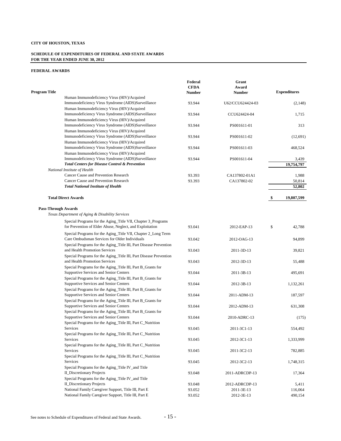#### **SCHEDULE OF EXPENDITURES OF FEDERAL AND STATE AWARDS FOR THE YEAR ENDED JUNE 30, 2012**

|                                                                   | Federal     | Grant            |                     |
|-------------------------------------------------------------------|-------------|------------------|---------------------|
|                                                                   | <b>CFDA</b> | Award            |                     |
| <b>Program Title</b>                                              | Number      | Number           | <b>Expenditures</b> |
| Human Immunodeficiency Virus (HIV)/Acquired                       |             |                  |                     |
| Immunodeficiency Virus Syndrome (AIDS)Surveillance                | 93.944      | U62/CCU624424-03 | (2,148)             |
| Human Immunodeficiency Virus (HIV)/Acquired                       |             |                  |                     |
| Immunodeficiency Virus Syndrome (AIDS)Surveillance                | 93.944      | CCU624424-04     | 1,715               |
| Human Immunodeficiency Virus (HIV)/Acquired                       |             |                  |                     |
| Immunodeficiency Virus Syndrome (AIDS)Surveillance                | 93.944      | PS001611-01      | 313                 |
| Human Immunodeficiency Virus (HIV)/Acquired                       |             |                  |                     |
| Immunodeficiency Virus Syndrome (AIDS)Surveillance                | 93.944      | PS001611-02      | (12,691)            |
| Human Immunodeficiency Virus (HIV)/Acquired                       |             |                  |                     |
| Immunodeficiency Virus Syndrome (AIDS)Surveillance                | 93.944      | PS001611-03      | 468,524             |
| Human Immunodeficiency Virus (HIV)/Acquired                       |             |                  |                     |
| Immunodeficiency Virus Syndrome (AIDS)Surveillance                | 93.944      | PS001611-04      | 3,439               |
| <b>Total Centers for Disease Control &amp; Prevention</b>         |             |                  | 19,754,797          |
| National Institute of Health                                      |             |                  |                     |
| Cancer Cause and Prevention Research                              | 93.393      | CA137802-01A1    | 1,988               |
| Cancer Cause and Prevention Research                              | 93.393      | CA137802-02      | 50,814              |
| <b>Total National Institute of Health</b>                         |             |                  | 52,802              |
|                                                                   |             |                  |                     |
|                                                                   |             |                  |                     |
| <b>Total Direct Awards</b>                                        |             |                  | \$<br>19,807,599    |
|                                                                   |             |                  |                     |
| <b>Pass-Through Awards</b>                                        |             |                  |                     |
| Texas Department of Aging & Disability Services                   |             |                  |                     |
| Special Programs for the Aging_Title VII, Chapter 3_Programs      |             |                  |                     |
| for Prevention of Elder Abuse, Neglect, and Exploitation          | 93.041      | 2012-EAP-13      | \$<br>42,788        |
| Special Programs for the Aging_Title VII, Chapter 2_Long Term     |             |                  |                     |
| Care Ombudsman Services for Older Individuals                     | 93.042      | 2012-OAG-13      | 94,899              |
| Special Programs for the Aging_Title III, Part Disease Prevention |             |                  |                     |
| and Health Promotion Services                                     | 93.043      | 2011-3D-13       | 39,821              |
| Special Programs for the Aging_Title III, Part Disease Prevention |             |                  |                     |
| and Health Promotion Services                                     | 93.043      | 2012-3D-13       | 55,488              |
| Special Programs for the Aging_Title III, Part B_Grants for       |             |                  |                     |
| Supportive Services and Senior Centers                            | 93.044      | 2011-3B-13       | 495,691             |
| Special Programs for the Aging_Title III, Part B_Grants for       |             |                  |                     |
| Supportive Services and Senior Centers                            | 93.044      |                  |                     |
|                                                                   |             | 2012-3B-13       | 1,132,261           |
| Special Programs for the Aging_Title III, Part B_Grants for       |             |                  |                     |
| Supportive Services and Senior Centers                            | 93.044      | 2011-ADM-13      | 187,597             |
| Special Programs for the Aging_Title III, Part B_Grants for       |             |                  |                     |
| Supportive Services and Senior Centers                            | 93.044      | 2012-ADM-13      | 631,308             |
| Special Programs for the Aging_Title III, Part B_Grants for       |             |                  |                     |
| Supportive Services and Senior Centers                            | 93.044      | 2010-ADRC-13     | (175)               |
| Special Programs for the Aging_Title III, Part C_Nutrition        |             |                  |                     |
| Services                                                          | 93.045      | 2011-3C1-13      | 554,492             |
| Special Programs for the Aging_Title III, Part C_Nutrition        |             |                  |                     |
| Services                                                          | 93.045      | 2012-3C1-13      | 1,333,999           |
| Special Programs for the Aging_Title III, Part C_Nutrition        |             |                  |                     |
| Services                                                          | 93.045      | 2011-3C2-13      | 782,885             |
| Special Programs for the Aging_Title III, Part C_Nutrition        |             |                  |                     |
| Services                                                          | 93.045      | 2012-3C2-13      | 1,748,315           |
| Special Programs for the Aging_Title IV_and Title                 |             |                  |                     |
| <b>II_Discretionary Projects</b>                                  | 93.048      | 2011-ADRCDP-13   | 17,364              |
| Special Programs for the Aging_Title IV_and Title                 |             |                  |                     |
| <b>II</b> Discretionary Projects                                  | 93.048      | 2012-ADRCDP-13   | 5,411               |
| National Family Caregiver Support, Title III, Part E              | 93.052      | 2011-3E-13       | 116,064             |
| National Family Caregiver Support, Title III, Part E              | 93.052      | 2012-3E-13       | 490,154             |
|                                                                   |             |                  |                     |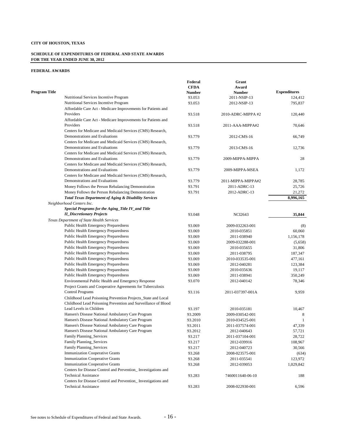#### **SCHEDULE OF EXPENDITURES OF FEDERAL AND STATE AWARDS FOR THE YEAR ENDED JUNE 30, 2012**

|                                                                  | Federal     | Grant              |                     |
|------------------------------------------------------------------|-------------|--------------------|---------------------|
|                                                                  | <b>CFDA</b> | Award              |                     |
| Program Title                                                    | Number      | <b>Number</b>      | <b>Expenditures</b> |
| Nutritional Services Incentive Program                           | 93.053      | 2011-NSIP-13       | 124,412             |
| Nutritional Services Incentive Program                           | 93.053      | 2012-NSIP-13       | 795,837             |
| Affordable Care Act - Medicare Improvements for Patients and     |             |                    |                     |
| Providers                                                        | 93.518      | 2010-ADRC-MIPPA #2 | 120,440             |
| Affordable Care Act - Medicare Improvements for Patients and     |             |                    |                     |
| Providers                                                        | 93.518      | 2011-AAA-MIPPA#2   | 70,646              |
| Centers for Medicare and Medicaid Services (CMS) Research,       |             |                    |                     |
| Demonstrations and Evaluations                                   | 93.779      | 2012-CMS-16        | 66,749              |
| Centers for Medicare and Medicaid Services (CMS) Research,       |             |                    |                     |
| Demonstrations and Evaluations                                   | 93.779      | 2013-CMS-16        | 12,736              |
| Centers for Medicare and Medicaid Services (CMS) Research,       |             |                    |                     |
| Demonstrations and Evaluations                                   | 93.779      | 2009-MIPPA-MIPPA   | 28                  |
| Centers for Medicare and Medicaid Services (CMS) Research,       |             |                    |                     |
| Demonstrations and Evaluations                                   | 93.779      | 2009-MIPPA-MSEA    | 1,172               |
| Centers for Medicare and Medicaid Services (CMS) Research,       |             |                    |                     |
| Demonstrations and Evaluations                                   | 93.779      | 2011-MIPPA-MIPPA#2 | 28,785              |
| Money Follows the Person Rebalancing Demonstration               | 93.791      | 2011-ADRC-13       | 25,726              |
| Money Follows the Person Rebalancing Demonstration               | 93.791      | 2012-ADRC-13       | 21,272              |
| <b>Total Texas Department of Aging &amp; Disability Services</b> |             |                    | 8,996,165           |
| Neighborhood Centers Inc.                                        |             |                    |                     |
| Special Programs for the Aging_Title IV_and Title                |             |                    |                     |
| <b>II_Discretionary Projects</b>                                 | 93.048      | <b>NCI2643</b>     | 35,844              |
| Texas Department of State Health Services                        |             |                    |                     |
| Public Health Emergency Preparedness                             | 93.069      | 2009-032263-001    | (8)                 |
| <b>Public Health Emergency Preparedness</b>                      | 93.069      | 2010-035851        | 60,060              |
| Public Health Emergency Preparedness                             | 93.069      | 2011-038940        | 1,156,178           |
| <b>Public Health Emergency Preparedness</b>                      | 93.069      | 2009-032288-001    | (5,658)             |
| Public Health Emergency Preparedness                             | 93.069      | 2010-035655        | 31,806              |
| Public Health Emergency Preparedness                             | 93.069      | 2011-038795        | 187,347             |
| Public Health Emergency Preparedness                             | 93.069      | 2010-033535-001    | 477,161             |
| Public Health Emergency Preparedness                             | 93.069      | 2012-040281        | 123,384             |
| <b>Public Health Emergency Preparedness</b>                      | 93.069      | 2010-035636        | 19,117              |
| Public Health Emergency Preparedness                             | 93.069      | 2011-038941        | 350,249             |
| Environmental Public Health and Emergency Response               | 93.070      | 2012-040142        | 78,346              |
| Project Grants and Cooperative Agreements for Tuberculosis       |             |                    |                     |
| Control Programs                                                 | 93.116      | 2011-037397-001A   | 9,959               |
| Childhood Lead Poisoning Prevention Projects_State and Local     |             |                    |                     |
| Childhood Lead Poisoning Prevention and Surveillance of Blood    |             |                    |                     |
| Lead Levels in Children                                          | 93.197      | 2010-035181        | 10,467              |
| Hansen's Disease National Ambulatory Care Program                | 93.2009     | 2009-030542-001    | 8                   |
| Hansen's Disease National Ambulatory Care Program                | 93.2010     | 2010-034525-001    | $\mathbf{1}$        |
| Hansen's Disease National Ambulatory Care Program                | 93.2011     | 2011-037574-001    | 47,339              |
| Hansen's Disease National Ambulatory Care Program                | 93.2012     | 2012-040643        | 57,721              |
| Family Planning_Services                                         | 93.217      | 2011-037104-001    | 28,722              |
| Family Planning_Services                                         | 93.217      | 2012-039916        | 108,967             |
| Family Planning_Services                                         | 93.217      | 2012-040723        | 30,566              |
| <b>Immunization Cooperative Grants</b>                           | 93.268      | 2008-023575-001    | (634)               |
| <b>Immunization Cooperative Grants</b>                           | 93.268      | 2011-035541        | 123,972             |
| <b>Immunization Cooperative Grants</b>                           | 93.268      | 2012-039053        | 1,029,842           |
| Centers for Disease Control and Prevention_Investigations and    |             |                    |                     |
| <b>Technical Assistance</b>                                      | 93.283      | 7460011640-06-10   | 188                 |
| Centers for Disease Control and Prevention_Investigations and    |             |                    |                     |
| <b>Technical Assistance</b>                                      | 93.283      | 2008-022930-001    | 6,596               |
|                                                                  |             |                    |                     |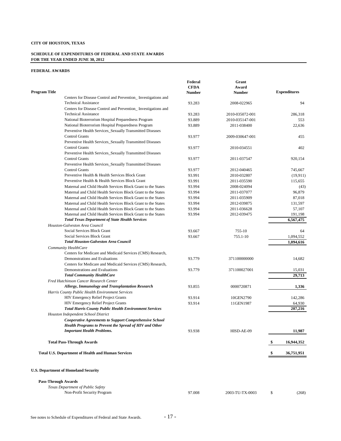#### **SCHEDULE OF EXPENDITURES OF FEDERAL AND STATE AWARDS FOR THE YEAR ENDED JUNE 30, 2012**

|                            |                                                               | Federal       | Grant           |     |                     |
|----------------------------|---------------------------------------------------------------|---------------|-----------------|-----|---------------------|
|                            |                                                               | <b>CFDA</b>   | Award           |     |                     |
| Program Title              |                                                               | <b>Number</b> | <b>Number</b>   |     | <b>Expenditures</b> |
|                            | Centers for Disease Control and Prevention_Investigations and |               |                 |     |                     |
|                            | <b>Technical Assistance</b>                                   | 93.283        | 2008-022965     |     | 94                  |
|                            | Centers for Disease Control and Prevention_Investigations and |               |                 |     |                     |
|                            | <b>Technical Assistance</b>                                   | 93.283        | 2010-035072-001 |     | 286,318             |
|                            | National Bioterrorism Hospital Preparedness Program           | 93.889        | 2010-035147-001 |     | 553                 |
|                            | National Bioterrorism Hospital Preparedness Program           | 93.889        | 2011-038400     |     | 22,636              |
|                            | Preventive Health Services_Sexually Transmitted Diseases      |               |                 |     |                     |
|                            | <b>Control Grants</b>                                         | 93.977        | 2009-030647-001 |     | 455                 |
|                            | Preventive Health Services_Sexually Transmitted Diseases      |               |                 |     |                     |
|                            | <b>Control Grants</b>                                         | 93.977        | 2010-034551     |     | 402                 |
|                            | Preventive Health Services Sexually Transmitted Diseases      |               |                 |     |                     |
|                            | <b>Control Grants</b>                                         | 93.977        | 2011-037547     |     | 920,154             |
|                            | Preventive Health Services_Sexually Transmitted Diseases      |               |                 |     |                     |
|                            | <b>Control Grants</b>                                         | 93.977        | 2012-040465     |     | 745,667             |
|                            | Preventive Health & Health Services Block Grant               | 93.991        | 2010-032807     |     | (19,911)            |
|                            | Preventive Health & Health Services Block Grant               | 93.991        | 2011-035590     |     | 115,655             |
|                            | Maternal and Child Health Services Block Grant to the States  | 93.994        | 2008-024094     |     | (43)                |
|                            | Maternal and Child Health Services Block Grant to the States  | 93.994        | 2011-037077     |     | 96,879              |
|                            | Maternal and Child Health Services Block Grant to the States  | 93.994        | 2011-035909     |     | 87,018              |
|                            | Maternal and Child Health Services Block Grant to the States  | 93.994        | 2012-039875     |     | 131,597             |
|                            | Maternal and Child Health Services Block Grant to the States  | 93.994        | 2011-036628     |     | 57,107              |
|                            | Maternal and Child Health Services Block Grant to the States  | 93.994        | 2012-039475     |     | 191,198             |
|                            | <b>Total Texas Department of State Health Services</b>        |               |                 |     | 6,567,475           |
|                            | Houston-Galveston Area Council                                |               |                 |     |                     |
|                            | Social Services Block Grant                                   | 93.667        | 755-10          |     | 64                  |
|                            | Social Services Block Grant                                   | 93.667        | 755.1-10        |     | 1,094,552           |
|                            | <b>Total Houston-Galveston Area Council</b>                   |               |                 |     | 1,094,616           |
|                            | Community HealthCare                                          |               |                 |     |                     |
|                            | Centers for Medicare and Medicaid Services (CMS) Research,    |               |                 |     |                     |
|                            | Demonstrations and Evaluations                                | 93.779        | 371100000000    |     | 14,682              |
|                            | Centers for Medicare and Medicaid Services (CMS) Research,    |               |                 |     |                     |
|                            | Demonstrations and Evaluations                                | 93.779        | 371100027001    |     | 15,031              |
|                            | <b>Total Community HealthCare</b>                             |               |                 |     | 29,713              |
|                            | Fred Hutchinson Cancer Research Center                        |               |                 |     |                     |
|                            | Allergy, Immunology and Transplantation Research              | 93.855        | 0000720871      |     | 1,336               |
|                            |                                                               |               |                 |     |                     |
|                            | Harris County Public Health Environment Services              |               |                 |     |                     |
|                            | <b>HIV Emergency Relief Project Grants</b>                    | 93.914        | 10GEN2790       |     | 142,286             |
|                            | <b>HIV Emergency Relief Project Grants</b>                    | 93.914        | 11GEN1987       |     | 64,930              |
|                            | <b>Total Harris County Public Health Environment Services</b> |               |                 |     | 207,216             |
|                            | Houston Independent School District                           |               |                 |     |                     |
|                            | <b>Cooperative Agreements to Support Comprehensive School</b> |               |                 |     |                     |
|                            | Health Programs to Prevent the Spread of HIV and Other        |               |                 |     |                     |
|                            | <b>Important Health Problems.</b>                             | 93.938        | HISD-AE-09      |     | 11,987              |
|                            |                                                               |               |                 |     |                     |
|                            | <b>Total Pass-Through Awards</b>                              |               |                 | \$  | 16,944,352          |
|                            |                                                               |               |                 |     |                     |
|                            | <b>Total U.S. Department of Health and Human Services</b>     |               |                 | \$, | 36,751,951          |
|                            | <b>U.S. Department of Homeland Security</b>                   |               |                 |     |                     |
| <b>Pass-Through Awards</b> |                                                               |               |                 |     |                     |
|                            | Texas Department of Public Safety                             |               |                 |     |                     |
|                            | Non-Profit Security Program                                   | 97.008        | 2003-TU-TX-0003 | \$  | (268)               |
|                            |                                                               |               |                 |     |                     |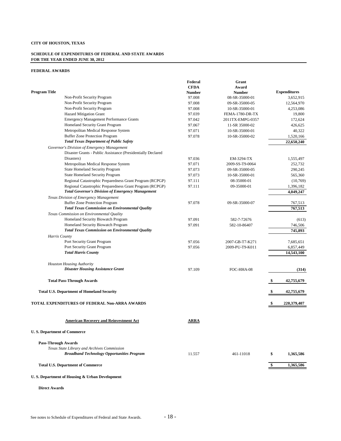#### **SCHEDULE OF EXPENDITURES OF FEDERAL AND STATE AWARDS FOR THE YEAR ENDED JUNE 30, 2012**

#### **FEDERAL AWARDS**

|                                                              | Federal       | Grant            |                     |
|--------------------------------------------------------------|---------------|------------------|---------------------|
|                                                              | <b>CFDA</b>   | Award            |                     |
| <b>Program Title</b>                                         | <b>Number</b> | <b>Number</b>    | <b>Expenditures</b> |
| Non-Profit Security Program                                  | 97.008        | 08-SR-35000-01   | 3,652,915           |
| Non-Profit Security Program                                  | 97.008        | 09-SR-35000-05   | 12,564,970          |
| Non-Profit Security Program                                  | 97.008        | 10-SR-35000-01   | 4,253,086           |
| <b>Hazard Mitigation Grant</b>                               | 97.039        | FEMA-1780-DR-TX  | 19,800              |
| <b>Emergency Management Performance Grants</b>               | 97.042        | 2011TX-EMPG-0357 | 172,624             |
| Homeland Security Grant Program                              | 97.067        | 11-SR 35000-02   | 426,625             |
| Metropolitan Medical Response System                         | 97.071        | 10-SR-35000-01   | 40,322              |
| <b>Buffer Zone Protection Program</b>                        | 97.078        | 10-SR-35000-02   | 1,520,166           |
| <b>Total Texas Department of Public Safety</b>               |               |                  | 22,650,240          |
| Governor's Division of Emergency Management                  |               |                  |                     |
| Disaster Grants - Public Assistance (Presidentially Declared |               |                  |                     |
| Disasters)                                                   | 97.036        | EM-3294-TX       | 1,555,497           |
| Metropolitan Medical Response System                         | 97.071        | 2009-SS-T9-0064  | 252,732             |
| <b>State Homeland Security Program</b>                       | 97.073        | 09-SR-35000-05   | 290,245             |
| <b>State Homeland Security Program</b>                       | 97.073        | 10-SR-35000-01   | 565,360             |
| Regional Catastrophic Preparedness Grant Program (RCPGP)     | 97.111        | 08-35000-01      | (10,769)            |
| Regional Catastrophic Preparedness Grant Program (RCPGP)     | 97.111        | 09-35000-01      | 1,396,182           |
| <b>Total Governor's Division of Emergency Management</b>     |               |                  | 4,049,247           |
| Texas Division of Emergency Management                       |               |                  |                     |
| <b>Buffer Zone Protection Program</b>                        | 97.078        | 09-SR-35000-07   | 767.513             |
| <b>Total Texas Commission on Environmental Quality</b>       |               |                  | 767,513             |
| Texas Commission on Environmental Quality                    |               |                  |                     |
| Homeland Security Biowatch Program                           | 97.091        | 582-7-72676      | (613)               |
| Homeland Security Biowatch Program                           | 97.091        | 582-10-86407     | 746,506             |
| <b>Total Texas Commission on Environmental Quality</b>       |               |                  | 745,893             |
| Harris County                                                |               |                  |                     |
| Port Security Grant Program                                  | 97.056        | 2007-GB-T7-K271  | 7,685,651           |
| Port Security Grant Program                                  | 97.056        | 2009-PU-T9-K011  | 6,857,449           |
| <b>Total Harris County</b>                                   |               |                  | 14,543,100          |
| <b>Houston Housing Authority</b>                             |               |                  |                     |
| <b>Disaster Housing Assistance Grant</b>                     | 97.109        | FOC-HHA-08       | (314)               |
| <b>Total Pass-Through Awards</b>                             |               |                  | 42,755,679<br>\$    |
|                                                              |               |                  |                     |
| <b>Total U.S. Department of Homeland Security</b>            |               |                  | 42,755,679          |
| TOTAL EXPENDITURES OF FEDERAL Non-ARRA AWARDS                |               |                  | 220,379,407         |
| <b>American Recovery and Reinvestment Act</b>                | ARRA          |                  |                     |
| <b>U.S. Department of Commerce</b>                           |               |                  |                     |
|                                                              |               |                  |                     |
| <b>Pass-Through Awards</b>                                   |               |                  |                     |
| Texas State Library and Archives Commission                  |               |                  |                     |
| <b>Broadband Technology Opportunities Program</b>            | 11.557        | 461-11018        | \$<br>1,365,586     |
| <b>Total U.S. Department of Commerce</b>                     |               |                  | 1,365,586<br>\$     |
|                                                              |               |                  |                     |

#### **U. S. Department of Housing & Urban Development**

**Direct Awards**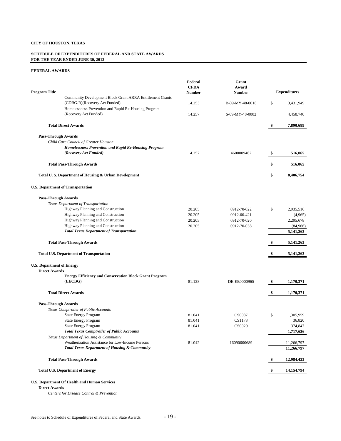#### **SCHEDULE OF EXPENDITURES OF FEDERAL AND STATE AWARDS FOR THE YEAR ENDED JUNE 30, 2012**

#### **FEDERAL AWARDS**

| Community Development Block Grant ARRA Entitlement Grants<br>(CDBG-R)(Recovery Act Funded)<br>14.253<br>B-09-MY-48-0018<br>\$<br>3,431,949<br>Homelessness Prevention and Rapid Re-Housing Program<br>(Recovery Act Funded)<br>14.257<br>S-09-MY-48-0002<br>4,458,740<br>7,890,689<br><b>Total Direct Awards</b><br>\$<br><b>Pass-Through Awards</b><br>Child Care Council of Greater Houston<br><b>Homelessness Prevention and Rapid Re-Housing Program</b><br>(Recovery Act Funded)<br>14.257<br>4600009462<br>516,065<br>\$<br><b>Total Pass-Through Awards</b><br>\$<br>516,065<br>Total U.S. Department of Housing & Urban Development<br>8,406,754<br><b>U.S. Department of Transportation</b><br><b>Pass-Through Awards</b><br>Texas Department of Transportation<br>Highway Planning and Construction<br>20.205<br>0912-70-022<br>\$<br>2,935,516<br>Highway Planning and Construction<br>20.205<br>0912-00-421<br>(4,965)<br>Highway Planning and Construction<br>2,295,678<br>20.205<br>0912-70-020<br>Highway Planning and Construction<br>20.205<br>0912-70-038<br>(84,966)<br><b>Total Texas Department of Transportation</b><br>5,141,263<br><b>Total Pass-Through Awards</b><br>5,141,263<br>\$<br><b>Total U.S. Department of Transportation</b><br>5,141,263<br>\$<br><b>U.S. Department of Energy</b><br><b>Direct Awards</b><br><b>Energy Efficiency and Conservation Block Grant Program</b><br>(EECBG)<br>81.128<br>DE-EE0000965<br>1,170,371<br>S,<br><b>Total Direct Awards</b><br>\$<br>1,170,371<br><b>Pass-Through Awards</b><br>Texas Comptroller of Public Accounts<br><b>State Energy Program</b><br>81.041<br><b>CS0087</b><br>\$<br>1,305,959<br><b>State Energy Program</b><br>81.041<br>CS1178<br>36,820<br><b>State Energy Program</b><br><b>CS0020</b><br>81.041<br>374,847<br><b>Total Texas Comptroller of Public Accounts</b><br>1,717,626<br>Texas Department of Housing & Community<br>Weatherization Assistance for Low-Income Persons<br>81.042<br>16090000689<br>11,266,797<br><b>Total Texas Department of Housing &amp; Community</b><br>11,266,797<br><b>Total Pass-Through Awards</b><br>12,984,423<br>\$,<br><b>Total U.S. Department of Energy</b><br>14,154,794<br>U.S. Department Of Health and Human Services | <b>Program Title</b> | Federal<br><b>CFDA</b><br><b>Number</b> | Grant<br>Award<br><b>Number</b> | <b>Expenditures</b> |
|-------------------------------------------------------------------------------------------------------------------------------------------------------------------------------------------------------------------------------------------------------------------------------------------------------------------------------------------------------------------------------------------------------------------------------------------------------------------------------------------------------------------------------------------------------------------------------------------------------------------------------------------------------------------------------------------------------------------------------------------------------------------------------------------------------------------------------------------------------------------------------------------------------------------------------------------------------------------------------------------------------------------------------------------------------------------------------------------------------------------------------------------------------------------------------------------------------------------------------------------------------------------------------------------------------------------------------------------------------------------------------------------------------------------------------------------------------------------------------------------------------------------------------------------------------------------------------------------------------------------------------------------------------------------------------------------------------------------------------------------------------------------------------------------------------------------------------------------------------------------------------------------------------------------------------------------------------------------------------------------------------------------------------------------------------------------------------------------------------------------------------------------------------------------------------------------------------------------------------------------------------------------|----------------------|-----------------------------------------|---------------------------------|---------------------|
|                                                                                                                                                                                                                                                                                                                                                                                                                                                                                                                                                                                                                                                                                                                                                                                                                                                                                                                                                                                                                                                                                                                                                                                                                                                                                                                                                                                                                                                                                                                                                                                                                                                                                                                                                                                                                                                                                                                                                                                                                                                                                                                                                                                                                                                                   |                      |                                         |                                 |                     |
|                                                                                                                                                                                                                                                                                                                                                                                                                                                                                                                                                                                                                                                                                                                                                                                                                                                                                                                                                                                                                                                                                                                                                                                                                                                                                                                                                                                                                                                                                                                                                                                                                                                                                                                                                                                                                                                                                                                                                                                                                                                                                                                                                                                                                                                                   |                      |                                         |                                 |                     |
|                                                                                                                                                                                                                                                                                                                                                                                                                                                                                                                                                                                                                                                                                                                                                                                                                                                                                                                                                                                                                                                                                                                                                                                                                                                                                                                                                                                                                                                                                                                                                                                                                                                                                                                                                                                                                                                                                                                                                                                                                                                                                                                                                                                                                                                                   |                      |                                         |                                 |                     |
|                                                                                                                                                                                                                                                                                                                                                                                                                                                                                                                                                                                                                                                                                                                                                                                                                                                                                                                                                                                                                                                                                                                                                                                                                                                                                                                                                                                                                                                                                                                                                                                                                                                                                                                                                                                                                                                                                                                                                                                                                                                                                                                                                                                                                                                                   |                      |                                         |                                 |                     |
|                                                                                                                                                                                                                                                                                                                                                                                                                                                                                                                                                                                                                                                                                                                                                                                                                                                                                                                                                                                                                                                                                                                                                                                                                                                                                                                                                                                                                                                                                                                                                                                                                                                                                                                                                                                                                                                                                                                                                                                                                                                                                                                                                                                                                                                                   |                      |                                         |                                 |                     |
|                                                                                                                                                                                                                                                                                                                                                                                                                                                                                                                                                                                                                                                                                                                                                                                                                                                                                                                                                                                                                                                                                                                                                                                                                                                                                                                                                                                                                                                                                                                                                                                                                                                                                                                                                                                                                                                                                                                                                                                                                                                                                                                                                                                                                                                                   |                      |                                         |                                 |                     |
|                                                                                                                                                                                                                                                                                                                                                                                                                                                                                                                                                                                                                                                                                                                                                                                                                                                                                                                                                                                                                                                                                                                                                                                                                                                                                                                                                                                                                                                                                                                                                                                                                                                                                                                                                                                                                                                                                                                                                                                                                                                                                                                                                                                                                                                                   |                      |                                         |                                 |                     |
|                                                                                                                                                                                                                                                                                                                                                                                                                                                                                                                                                                                                                                                                                                                                                                                                                                                                                                                                                                                                                                                                                                                                                                                                                                                                                                                                                                                                                                                                                                                                                                                                                                                                                                                                                                                                                                                                                                                                                                                                                                                                                                                                                                                                                                                                   |                      |                                         |                                 |                     |
|                                                                                                                                                                                                                                                                                                                                                                                                                                                                                                                                                                                                                                                                                                                                                                                                                                                                                                                                                                                                                                                                                                                                                                                                                                                                                                                                                                                                                                                                                                                                                                                                                                                                                                                                                                                                                                                                                                                                                                                                                                                                                                                                                                                                                                                                   |                      |                                         |                                 |                     |
|                                                                                                                                                                                                                                                                                                                                                                                                                                                                                                                                                                                                                                                                                                                                                                                                                                                                                                                                                                                                                                                                                                                                                                                                                                                                                                                                                                                                                                                                                                                                                                                                                                                                                                                                                                                                                                                                                                                                                                                                                                                                                                                                                                                                                                                                   |                      |                                         |                                 |                     |
|                                                                                                                                                                                                                                                                                                                                                                                                                                                                                                                                                                                                                                                                                                                                                                                                                                                                                                                                                                                                                                                                                                                                                                                                                                                                                                                                                                                                                                                                                                                                                                                                                                                                                                                                                                                                                                                                                                                                                                                                                                                                                                                                                                                                                                                                   |                      |                                         |                                 |                     |
|                                                                                                                                                                                                                                                                                                                                                                                                                                                                                                                                                                                                                                                                                                                                                                                                                                                                                                                                                                                                                                                                                                                                                                                                                                                                                                                                                                                                                                                                                                                                                                                                                                                                                                                                                                                                                                                                                                                                                                                                                                                                                                                                                                                                                                                                   |                      |                                         |                                 |                     |
|                                                                                                                                                                                                                                                                                                                                                                                                                                                                                                                                                                                                                                                                                                                                                                                                                                                                                                                                                                                                                                                                                                                                                                                                                                                                                                                                                                                                                                                                                                                                                                                                                                                                                                                                                                                                                                                                                                                                                                                                                                                                                                                                                                                                                                                                   |                      |                                         |                                 |                     |
|                                                                                                                                                                                                                                                                                                                                                                                                                                                                                                                                                                                                                                                                                                                                                                                                                                                                                                                                                                                                                                                                                                                                                                                                                                                                                                                                                                                                                                                                                                                                                                                                                                                                                                                                                                                                                                                                                                                                                                                                                                                                                                                                                                                                                                                                   |                      |                                         |                                 |                     |
|                                                                                                                                                                                                                                                                                                                                                                                                                                                                                                                                                                                                                                                                                                                                                                                                                                                                                                                                                                                                                                                                                                                                                                                                                                                                                                                                                                                                                                                                                                                                                                                                                                                                                                                                                                                                                                                                                                                                                                                                                                                                                                                                                                                                                                                                   |                      |                                         |                                 |                     |
|                                                                                                                                                                                                                                                                                                                                                                                                                                                                                                                                                                                                                                                                                                                                                                                                                                                                                                                                                                                                                                                                                                                                                                                                                                                                                                                                                                                                                                                                                                                                                                                                                                                                                                                                                                                                                                                                                                                                                                                                                                                                                                                                                                                                                                                                   |                      |                                         |                                 |                     |
|                                                                                                                                                                                                                                                                                                                                                                                                                                                                                                                                                                                                                                                                                                                                                                                                                                                                                                                                                                                                                                                                                                                                                                                                                                                                                                                                                                                                                                                                                                                                                                                                                                                                                                                                                                                                                                                                                                                                                                                                                                                                                                                                                                                                                                                                   |                      |                                         |                                 |                     |
|                                                                                                                                                                                                                                                                                                                                                                                                                                                                                                                                                                                                                                                                                                                                                                                                                                                                                                                                                                                                                                                                                                                                                                                                                                                                                                                                                                                                                                                                                                                                                                                                                                                                                                                                                                                                                                                                                                                                                                                                                                                                                                                                                                                                                                                                   |                      |                                         |                                 |                     |
|                                                                                                                                                                                                                                                                                                                                                                                                                                                                                                                                                                                                                                                                                                                                                                                                                                                                                                                                                                                                                                                                                                                                                                                                                                                                                                                                                                                                                                                                                                                                                                                                                                                                                                                                                                                                                                                                                                                                                                                                                                                                                                                                                                                                                                                                   |                      |                                         |                                 |                     |
|                                                                                                                                                                                                                                                                                                                                                                                                                                                                                                                                                                                                                                                                                                                                                                                                                                                                                                                                                                                                                                                                                                                                                                                                                                                                                                                                                                                                                                                                                                                                                                                                                                                                                                                                                                                                                                                                                                                                                                                                                                                                                                                                                                                                                                                                   |                      |                                         |                                 |                     |
|                                                                                                                                                                                                                                                                                                                                                                                                                                                                                                                                                                                                                                                                                                                                                                                                                                                                                                                                                                                                                                                                                                                                                                                                                                                                                                                                                                                                                                                                                                                                                                                                                                                                                                                                                                                                                                                                                                                                                                                                                                                                                                                                                                                                                                                                   |                      |                                         |                                 |                     |
|                                                                                                                                                                                                                                                                                                                                                                                                                                                                                                                                                                                                                                                                                                                                                                                                                                                                                                                                                                                                                                                                                                                                                                                                                                                                                                                                                                                                                                                                                                                                                                                                                                                                                                                                                                                                                                                                                                                                                                                                                                                                                                                                                                                                                                                                   |                      |                                         |                                 |                     |
|                                                                                                                                                                                                                                                                                                                                                                                                                                                                                                                                                                                                                                                                                                                                                                                                                                                                                                                                                                                                                                                                                                                                                                                                                                                                                                                                                                                                                                                                                                                                                                                                                                                                                                                                                                                                                                                                                                                                                                                                                                                                                                                                                                                                                                                                   |                      |                                         |                                 |                     |
|                                                                                                                                                                                                                                                                                                                                                                                                                                                                                                                                                                                                                                                                                                                                                                                                                                                                                                                                                                                                                                                                                                                                                                                                                                                                                                                                                                                                                                                                                                                                                                                                                                                                                                                                                                                                                                                                                                                                                                                                                                                                                                                                                                                                                                                                   |                      |                                         |                                 |                     |
|                                                                                                                                                                                                                                                                                                                                                                                                                                                                                                                                                                                                                                                                                                                                                                                                                                                                                                                                                                                                                                                                                                                                                                                                                                                                                                                                                                                                                                                                                                                                                                                                                                                                                                                                                                                                                                                                                                                                                                                                                                                                                                                                                                                                                                                                   |                      |                                         |                                 |                     |
|                                                                                                                                                                                                                                                                                                                                                                                                                                                                                                                                                                                                                                                                                                                                                                                                                                                                                                                                                                                                                                                                                                                                                                                                                                                                                                                                                                                                                                                                                                                                                                                                                                                                                                                                                                                                                                                                                                                                                                                                                                                                                                                                                                                                                                                                   |                      |                                         |                                 |                     |
|                                                                                                                                                                                                                                                                                                                                                                                                                                                                                                                                                                                                                                                                                                                                                                                                                                                                                                                                                                                                                                                                                                                                                                                                                                                                                                                                                                                                                                                                                                                                                                                                                                                                                                                                                                                                                                                                                                                                                                                                                                                                                                                                                                                                                                                                   |                      |                                         |                                 |                     |
|                                                                                                                                                                                                                                                                                                                                                                                                                                                                                                                                                                                                                                                                                                                                                                                                                                                                                                                                                                                                                                                                                                                                                                                                                                                                                                                                                                                                                                                                                                                                                                                                                                                                                                                                                                                                                                                                                                                                                                                                                                                                                                                                                                                                                                                                   |                      |                                         |                                 |                     |
|                                                                                                                                                                                                                                                                                                                                                                                                                                                                                                                                                                                                                                                                                                                                                                                                                                                                                                                                                                                                                                                                                                                                                                                                                                                                                                                                                                                                                                                                                                                                                                                                                                                                                                                                                                                                                                                                                                                                                                                                                                                                                                                                                                                                                                                                   |                      |                                         |                                 |                     |
|                                                                                                                                                                                                                                                                                                                                                                                                                                                                                                                                                                                                                                                                                                                                                                                                                                                                                                                                                                                                                                                                                                                                                                                                                                                                                                                                                                                                                                                                                                                                                                                                                                                                                                                                                                                                                                                                                                                                                                                                                                                                                                                                                                                                                                                                   |                      |                                         |                                 |                     |
|                                                                                                                                                                                                                                                                                                                                                                                                                                                                                                                                                                                                                                                                                                                                                                                                                                                                                                                                                                                                                                                                                                                                                                                                                                                                                                                                                                                                                                                                                                                                                                                                                                                                                                                                                                                                                                                                                                                                                                                                                                                                                                                                                                                                                                                                   |                      |                                         |                                 |                     |
|                                                                                                                                                                                                                                                                                                                                                                                                                                                                                                                                                                                                                                                                                                                                                                                                                                                                                                                                                                                                                                                                                                                                                                                                                                                                                                                                                                                                                                                                                                                                                                                                                                                                                                                                                                                                                                                                                                                                                                                                                                                                                                                                                                                                                                                                   |                      |                                         |                                 |                     |
|                                                                                                                                                                                                                                                                                                                                                                                                                                                                                                                                                                                                                                                                                                                                                                                                                                                                                                                                                                                                                                                                                                                                                                                                                                                                                                                                                                                                                                                                                                                                                                                                                                                                                                                                                                                                                                                                                                                                                                                                                                                                                                                                                                                                                                                                   |                      |                                         |                                 |                     |
|                                                                                                                                                                                                                                                                                                                                                                                                                                                                                                                                                                                                                                                                                                                                                                                                                                                                                                                                                                                                                                                                                                                                                                                                                                                                                                                                                                                                                                                                                                                                                                                                                                                                                                                                                                                                                                                                                                                                                                                                                                                                                                                                                                                                                                                                   |                      |                                         |                                 |                     |
|                                                                                                                                                                                                                                                                                                                                                                                                                                                                                                                                                                                                                                                                                                                                                                                                                                                                                                                                                                                                                                                                                                                                                                                                                                                                                                                                                                                                                                                                                                                                                                                                                                                                                                                                                                                                                                                                                                                                                                                                                                                                                                                                                                                                                                                                   |                      |                                         |                                 |                     |
|                                                                                                                                                                                                                                                                                                                                                                                                                                                                                                                                                                                                                                                                                                                                                                                                                                                                                                                                                                                                                                                                                                                                                                                                                                                                                                                                                                                                                                                                                                                                                                                                                                                                                                                                                                                                                                                                                                                                                                                                                                                                                                                                                                                                                                                                   |                      |                                         |                                 |                     |
|                                                                                                                                                                                                                                                                                                                                                                                                                                                                                                                                                                                                                                                                                                                                                                                                                                                                                                                                                                                                                                                                                                                                                                                                                                                                                                                                                                                                                                                                                                                                                                                                                                                                                                                                                                                                                                                                                                                                                                                                                                                                                                                                                                                                                                                                   |                      |                                         |                                 |                     |
|                                                                                                                                                                                                                                                                                                                                                                                                                                                                                                                                                                                                                                                                                                                                                                                                                                                                                                                                                                                                                                                                                                                                                                                                                                                                                                                                                                                                                                                                                                                                                                                                                                                                                                                                                                                                                                                                                                                                                                                                                                                                                                                                                                                                                                                                   |                      |                                         |                                 |                     |
|                                                                                                                                                                                                                                                                                                                                                                                                                                                                                                                                                                                                                                                                                                                                                                                                                                                                                                                                                                                                                                                                                                                                                                                                                                                                                                                                                                                                                                                                                                                                                                                                                                                                                                                                                                                                                                                                                                                                                                                                                                                                                                                                                                                                                                                                   |                      |                                         |                                 |                     |

**Direct Awards**

*Centers for Disease Control & Prevention*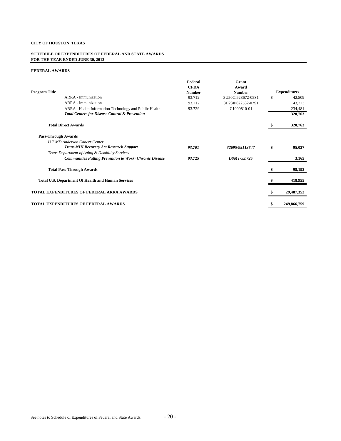#### **SCHEDULE OF EXPENDITURES OF FEDERAL AND STATE AWARDS FOR THE YEAR ENDED JUNE 30, 2012**

|                            |                                                                | Federal<br><b>CFDA</b> | Grant<br>Award     |                     |
|----------------------------|----------------------------------------------------------------|------------------------|--------------------|---------------------|
| <b>Program Title</b>       |                                                                | <b>Number</b>          | <b>Number</b>      | <b>Expenditures</b> |
|                            | <b>ARRA</b> - Immunization                                     | 93.712                 | 3U50CI623672-05S1  | \$<br>42,509        |
|                            | <b>ARRA</b> - Immunization                                     | 93.712                 | 3H23IP622532-07S1  | 43.773              |
|                            | ARRA-Health Information Technology and Public Health           | 93.729                 | C1000810-01        | 234,481             |
|                            | <b>Total Centers for Disease Control &amp; Prevention</b>      |                        |                    | 320,763             |
|                            | <b>Total Direct Awards</b>                                     |                        |                    | 320,763             |
| <b>Pass-Through Awards</b> |                                                                |                        |                    |                     |
|                            | <b>UTMD</b> Anderson Cancer Center                             |                        |                    |                     |
|                            | <b>Trans-NIH Recovery Act Research Support</b>                 | 93.701                 | 32695/98113847     | \$<br>95,027        |
|                            | Texas Department of Aging & Disability Services                |                        |                    |                     |
|                            | <b>Communities Putting Prevention to Work: Chronic Disease</b> | 93.725                 | <b>DSMT-93.725</b> | 3,165               |
|                            | <b>Total Pass-Through Awards</b>                               |                        |                    | 98,192              |
|                            | <b>Total U.S. Department Of Health and Human Services</b>      |                        |                    | 418,955             |
|                            | TOTAL EXPENDITURES OF FEDERAL ARRA AWARDS                      |                        |                    | 29,487,352          |
|                            | <b>TOTAL EXPENDITURES OF FEDERAL AWARDS</b>                    |                        |                    | 249,866,759         |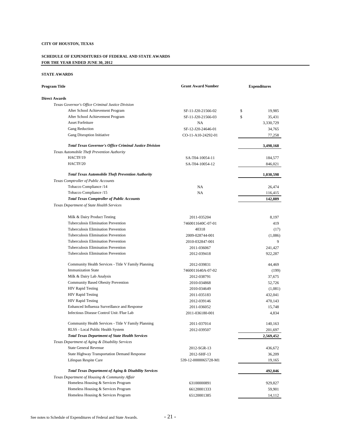#### **SCHEDULE OF EXPENDITURES OF FEDERAL AND STATE AWARDS FOR THE YEAR ENDED JUNE 30, 2012**

#### **STATE AWARDS**

| Program Title                                                    | <b>Grant Award Number</b> | <b>Expenditures</b> |
|------------------------------------------------------------------|---------------------------|---------------------|
| <b>Direct Awards</b>                                             |                           |                     |
| Texas Governor's Office Criminal Justice Division                |                           |                     |
| After School Achievement Program                                 | SF-11-J20-21566-02        | \$<br>19,985        |
| After School Achievement Program                                 | SF-11-J20-21566-03        | \$<br>35,431        |
| <b>Asset Forfeiture</b>                                          | <b>NA</b>                 | 3,330,729           |
| <b>Gang Reduction</b>                                            | SF-12-J20-24646-01        | 34,765              |
| Gang Disruption Initiative                                       | CO-11-A10-24292-01        | 77,258              |
| <b>Total Texas Governor's Office Criminal Justice Division</b>   |                           | 3,498,168           |
| Texas Automobile Theft Prevention Authority                      |                           |                     |
| HACTF/19                                                         | SA-T04-10054-11           | 184,577             |
| HACTF/20                                                         | SA-T04-10054-12           | 846,021             |
| <b>Total Texas Automobile Theft Prevention Authority</b>         |                           | 1,030,598           |
| Texas Comptroller of Public Accounts                             |                           |                     |
| Tobacco Compliance /14                                           | <b>NA</b>                 | 26,474              |
| Tobacco Compliance /15                                           | <b>NA</b>                 | 116,415             |
| <b>Total Texas Comptroller of Public Accounts</b>                |                           | 142,889             |
| Texas Department of State Health Services                        |                           |                     |
| Milk & Dairy Product Testing                                     | 2011-035204               | 8,197               |
| Tuberculosis Elimination Prevention                              | 7460011640C-07-01         | 419                 |
| Tuberculosis Elimination Prevention                              | 40318                     | (17)                |
| Tuberculosis Elimination Prevention                              | 2009-028744-001           | (1,086)             |
| Tuberculosis Elimination Prevention                              | 2010-032847-001           |                     |
| Tuberculosis Elimination Prevention                              | 2011-036067               | 241,427             |
| Tuberculosis Elimination Prevention                              | 2012-039418               | 922,287             |
| Community Health Services - Title V Family Planning              | 2012-039831               | 44,469              |
| <b>Immunization State</b>                                        | 7460011640A-07-02         | (199)               |
| Milk & Dairy Lab Analysis                                        | 2012-038791               | 37,675              |
| <b>Community Based Obesity Prevention</b>                        | 2010-034868               | 52,726              |
| <b>HIV Rapid Testing</b>                                         | 2010-034649               | (1,081)             |
| <b>HIV Rapid Testing</b>                                         | 2011-035183               | 432,041             |
| <b>HIV Rapid Testing</b>                                         | 2012-039146               | 470,143             |
| Enhanced Influenza Surveillance and Response                     | 2011-036052               | 15,748              |
| Infectious Disease Control Unit / Flue Lab                       | 2011-036180-001           | 4,834               |
| Community Health Services - Title V Family Planning              | 2011-037014               | 140,163             |
| RLSS - Local Public Health System                                | 2012-039507               | 201,697             |
| <b>Total Texas Department of State Health Services</b>           |                           | 2,569,452           |
| Texas Department of Aging & Disability Services                  |                           |                     |
| <b>State General Revenue</b>                                     | 2012-SGR-13               | 436,672             |
| <b>State Highway Transportation Demand Response</b>              | 2012-SHF-13               | 36,209              |
| Lifespan Respite Care                                            | 539-12-0000065728-M1      | 19,165              |
| <b>Total Texas Department of Aging &amp; Disability Services</b> |                           | 492,046             |
| Texas Department of Housing & Community Affair                   |                           |                     |
| Homeless Housing & Services Program                              | 63100000891               | 929,827             |
| Homeless Housing & Services Program                              | 66120001333               | 59,901              |
| Homeless Housing & Services Program                              | 65120001385               | 14,112              |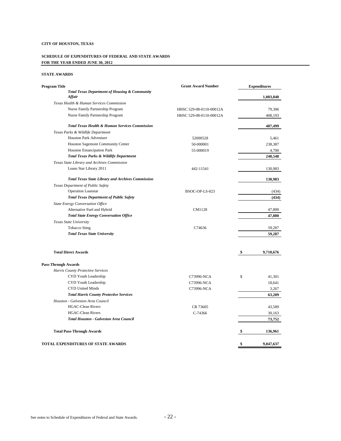#### **SCHEDULE OF EXPENDITURES OF FEDERAL AND STATE AWARDS FOR THE YEAR ENDED JUNE 30, 2012**

#### **STATE AWARDS**

| Program Title                                                             | <b>Grant Award Number</b> | <b>Expenditures</b> |
|---------------------------------------------------------------------------|---------------------------|---------------------|
| <b>Total Texas Department of Housing &amp; Community</b><br><b>Affair</b> |                           | 1,003,840           |
| Texas Health & Human Services Commission                                  |                           |                     |
| Nurse Family Partnership Program                                          | HHSC 529-08-0110-00012A   | 79,306              |
| Nurse Family Partnership Program                                          | HHSC 529-08-0110-00012A   | 408,193             |
| <b>Total Texas Health &amp; Human Services Commission</b>                 |                           | 487,499             |
| Texas Parks & Wildlife Department                                         |                           |                     |
| <b>Houston Park Adventure</b>                                             | 52000528                  | 5,461               |
| Houston Sagemont Community Center                                         | 50-000001                 | 238,387             |
| Houston Emancipation Park                                                 | 55-000019                 | 4,700               |
| Total Texas Parks & Wildlife Department                                   |                           | 248,548             |
| Texas State Library and Archives Commission                               |                           |                     |
| Loans Star Library 2011                                                   | 442-11541                 | 130,983             |
| <b>Total Texas State Library and Archives Commission</b>                  |                           | 130,983             |
| Texas Department of Public Safety                                         |                           |                     |
| <b>Operation Loanstar</b>                                                 | BSOC-OP-LS-023            | (434)               |
| <b>Total Texas Department of Public Safety</b>                            |                           | (434)               |
| State Energy Conversation Office                                          |                           |                     |
| Alternative Fuel and Hybrid                                               | CM1128                    | 47,800              |
| <b>Total State Energy Conversation Office</b>                             |                           | 47,800              |
| Texas State University                                                    |                           |                     |
| <b>Tobacco Sting</b>                                                      | C74636                    | 59,287              |
| <b>Total Texas State University</b>                                       |                           | 59,287              |
| <b>Total Direct Awards</b>                                                |                           | \$<br>9,710,676     |
| <b>Pass-Through Awards</b>                                                |                           |                     |
| Harris County Protective Services                                         |                           |                     |
| CYD Youth Leadership                                                      | C73996-NCA                | \$<br>41,301        |
| CYD Youth Leadership                                                      | C73996-NCA                | 18,641              |
| <b>CYD United Minds</b>                                                   | C73996-NCA                | 3,267               |
| <b>Total Harris County Protective Services</b>                            |                           | 63,209              |
| Houston - Galveston Area Council                                          |                           |                     |
| <b>HGAC-Clean Rivers</b>                                                  | CR 73605                  | 43,589              |
| <b>HGAC-Clean Rivers</b>                                                  | $C-74366$                 | 30,163              |
| <b>Total Houston - Galveston Area Council</b>                             |                           | 73,752              |
| <b>Total Pass-Through Awards</b>                                          |                           | \$<br>136,961       |
| TOTAL EXPENDITURES OF STATE AWARDS                                        |                           | \$<br>9,847,637     |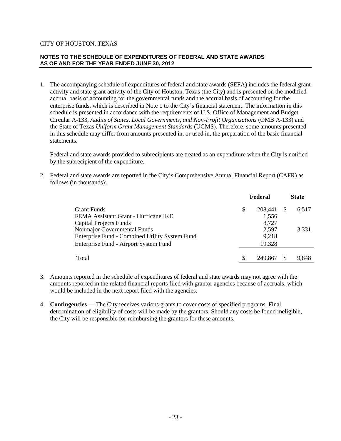## **NOTES TO THE SCHEDULE OF EXPENDITURES OF FEDERAL AND STATE AWARDS AS OF AND FOR THE YEAR ENDED JUNE 30, 2012**

1. The accompanying schedule of expenditures of federal and state awards (SEFA) includes the federal grant activity and state grant activity of the City of Houston, Texas (the City) and is presented on the modified accrual basis of accounting for the governmental funds and the accrual basis of accounting for the enterprise funds, which is described in Note 1 to the City's financial statement. The information in this schedule is presented in accordance with the requirements of U.S. Office of Management and Budget Circular A-133, *Audits of States, Local Governments, and Non-Profit Organizations* (OMB A-133) and the State of Texas *Uniform Grant Management Standards* (UGMS). Therefore, some amounts presented in this schedule may differ from amounts presented in, or used in, the preparation of the basic financial statements.

Federal and state awards provided to subrecipients are treated as an expenditure when the City is notified by the subrecipient of the expenditure.

2. Federal and state awards are reported in the City's Comprehensive Annual Financial Report (CAFR) as follows (in thousands):

|                                                |   | Federal |    | <b>State</b> |
|------------------------------------------------|---|---------|----|--------------|
| Grant Funds                                    | S | 208,441 | -S | 6.517        |
| FEMA Assistant Grant - Hurricane IKE           |   | 1,556   |    |              |
| Capital Projects Funds                         |   | 8,727   |    |              |
| Nonmajor Governmental Funds                    |   | 2,597   |    | 3.331        |
| Enterprise Fund - Combined Utility System Fund |   | 9,218   |    |              |
| Enterprise Fund - Airport System Fund          |   | 19,328  |    |              |
| Total                                          |   | 249,867 |    | 9,848        |

- 3. Amounts reported in the schedule of expenditures of federal and state awards may not agree with the amounts reported in the related financial reports filed with grantor agencies because of accruals, which would be included in the next report filed with the agencies.
- 4. **Contingencies** The City receives various grants to cover costs of specified programs. Final determination of eligibility of costs will be made by the grantors. Should any costs be found ineligible, the City will be responsible for reimbursing the grantors for these amounts.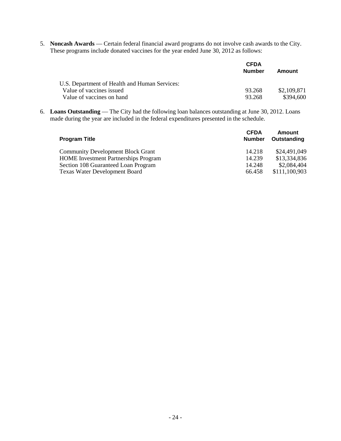5. **Noncash Awards** — Certain federal financial award programs do not involve cash awards to the City. These programs include donated vaccines for the year ended June 30, 2012 as follows:

|                                               | <b>CFDA</b><br>Number | Amount      |
|-----------------------------------------------|-----------------------|-------------|
| U.S. Department of Health and Human Services: |                       |             |
| Value of vaccines issued                      | 93.268                | \$2.109.871 |
| Value of vaccines on hand                     | 93.268                | \$394,600   |

6. **Loans Outstanding** — The City had the following loan balances outstanding at June 30, 2012. Loans made during the year are included in the federal expenditures presented in the schedule.

| <b>Program Title</b>                        | <b>CFDA</b><br><b>Number</b> | Amount<br>Outstanding |
|---------------------------------------------|------------------------------|-----------------------|
| <b>Community Development Block Grant</b>    | 14.218                       | \$24,491,049          |
| <b>HOME</b> Investment Partnerships Program | 14.239                       | \$13,334,836          |
| Section 108 Guaranteed Loan Program         | 14.248                       | \$2,084,404           |
| <b>Texas Water Development Board</b>        | 66.458                       | \$111,100,903         |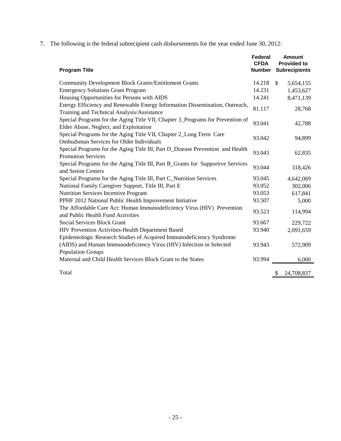7. The following is the federal subrecipient cash disbursements for the year ended June 30, 2012:

| <b>Program Title</b>                                                                                                      | Federal<br><b>CFDA</b><br>Number | <b>Amount</b><br><b>Provided to</b><br><b>Subrecipients</b> |
|---------------------------------------------------------------------------------------------------------------------------|----------------------------------|-------------------------------------------------------------|
| <b>Community Development Block Grants/Entitlement Grants</b>                                                              | 14.218                           | $\mathbb{S}$<br>5,654,155                                   |
| <b>Emergency Solutions Grant Program</b>                                                                                  | 14.231                           | 1,453,627                                                   |
| Housing Opportunities for Persons with AIDS                                                                               | 14.241                           | 8,471,139                                                   |
| Energy Efficiency and Renewable Energy Information Dissemination, Outreach,<br>Training and Technical Analysis/Assistance | 81.117                           | 28,768                                                      |
| Special Programs for the Aging Title VII, Chapter 3_Programs for Prevention of<br>Elder Abuse, Neglect, and Exploitation  | 93.041                           | 42,788                                                      |
| Special Programs for the Aging Title VII, Chapter 2_Long Term Care<br><b>Ombudsman Services for Older Individuals</b>     | 93.042                           | 94,899                                                      |
| Special Programs for the Aging Title III, Part D_Disease Prevention and Health<br><b>Promotion Services</b>               | 93.043                           | 62,835                                                      |
| Special Programs for the Aging Title III, Part B_Grants for Supportive Services<br>and Senior Centers                     | 93.044                           | 318,426                                                     |
| Special Programs for the Aging Title III, Part C_Nutrition Services                                                       | 93.045                           | 4,642,069                                                   |
| National Family Caregiver Support, Title III, Part E                                                                      | 93.052                           | 302,006                                                     |
| Nutrition Services Incentive Program                                                                                      | 93.053                           | 617,841                                                     |
| PPHF 2012 National Public Health Improvement Initiative                                                                   | 93.507                           | 5,000                                                       |
| The Affordable Care Act: Human Immunodeficiency Virus (HIV) Prevention<br>and Public Health Fund Activities               | 93.523                           | 114,994                                                     |
| <b>Social Services Block Grant</b>                                                                                        | 93.667                           | 229,722                                                     |
| HIV Prevention Activities-Health Department Based                                                                         | 93.940                           | 2,091,659                                                   |
| Epidemiologic Research Studies of Acquired Immunodeficiency Syndrome                                                      |                                  |                                                             |
| (AIDS) and Human Immunodeficiency Virus (HIV) Infection in Selected<br><b>Population Groups</b>                           | 93.943                           | 572,909                                                     |
| Maternal and Child Health Services Block Grant to the States                                                              | 93.994                           | 6,000                                                       |
| Total                                                                                                                     |                                  | 24,708,837<br>\$                                            |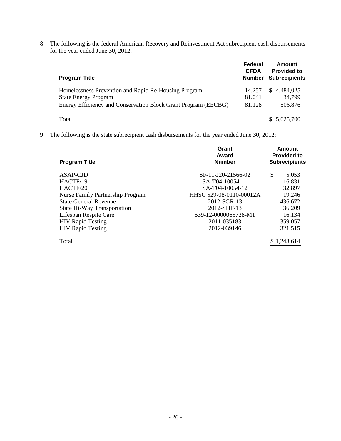8. The following is the federal American Recovery and Reinvestment Act subrecipient cash disbursements for the year ended June 30, 2012:

| <b>Program Title</b>                                                                                                                                  | Federal<br><b>CFDA</b><br><b>Number</b> | Amount<br><b>Provided to</b><br><b>Subrecipients</b> |
|-------------------------------------------------------------------------------------------------------------------------------------------------------|-----------------------------------------|------------------------------------------------------|
| Homelessness Prevention and Rapid Re-Housing Program<br><b>State Energy Program</b><br>Energy Efficiency and Conservation Block Grant Program (EECBG) | 14.257<br>81.041<br>81.128              | 4,484,025<br>S.<br>34,799<br>506,876                 |
| Total                                                                                                                                                 |                                         | 5,025,700                                            |

9. The following is the state subrecipient cash disbursements for the year ended June 30, 2012:

| <b>Program Title</b>                    | Grant<br>Award<br><b>Number</b> | <b>Amount</b><br><b>Provided to</b><br><b>Subrecipients</b> |  |
|-----------------------------------------|---------------------------------|-------------------------------------------------------------|--|
| ASAP-CJD                                | SF-11-J20-21566-02              | \$<br>5,053                                                 |  |
| HACTF/19                                | SA-T04-10054-11                 | 16,831                                                      |  |
| HACTF/20                                | SA-T04-10054-12                 | 32,897                                                      |  |
| <b>Nurse Family Partnership Program</b> | HHSC 529-08-0110-00012A         | 19,246                                                      |  |
| <b>State General Revenue</b>            | 2012-SGR-13                     | 436,672                                                     |  |
| State Hi-Way Transportation             | 2012-SHF-13                     | 36,209                                                      |  |
| Lifespan Respite Care                   | 539-12-0000065728-M1            | 16,134                                                      |  |
| <b>HIV Rapid Testing</b>                | 2011-035183                     | 359,057                                                     |  |
| <b>HIV Rapid Testing</b>                | 2012-039146                     | 321,515                                                     |  |
| Total                                   |                                 | \$1,243,614                                                 |  |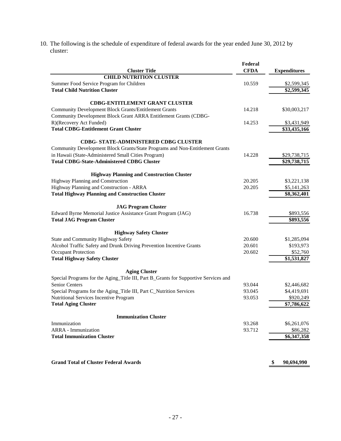10. The following is the schedule of expenditure of federal awards for the year ended June 30, 2012 by cluster:

|                                                                                     | Federal     |                            |
|-------------------------------------------------------------------------------------|-------------|----------------------------|
| <b>Cluster Title</b><br><b>CHILD NUTRITION CLUSTER</b>                              | <b>CFDA</b> | <b>Expenditures</b>        |
| Summer Food Service Program for Children                                            | 10.559      |                            |
| <b>Total Child Nutrition Cluster</b>                                                |             | \$2,599,345<br>\$2,599,345 |
|                                                                                     |             |                            |
| <b>CDBG-ENTITLEMENT GRANT CLUSTER</b>                                               |             |                            |
| <b>Community Development Block Grants/Entitlement Grants</b>                        | 14.218      | \$30,003,217               |
| Community Development Block Grant ARRA Entitlement Grants (CDBG-                    |             |                            |
| R)(Recovery Act Funded)                                                             | 14.253      | \$3,431,949                |
| <b>Total CDBG-Entitlement Grant Cluster</b>                                         |             | \$33,435,166               |
| CDBG- STATE-ADMINISTERED CDBG CLUSTER                                               |             |                            |
| Community Development Block Grants/State Programs and Non-Entitlement Grants        |             |                            |
| in Hawaii (State-Administered Small Cities Program)                                 | 14.228      | \$29,738,715               |
| <b>Total CDBG-State-Administered CDBG Cluster</b>                                   |             | \$29,738,715               |
| <b>Highway Planning and Construction Cluster</b>                                    |             |                            |
| Highway Planning and Construction                                                   | 20.205      | \$3,221,138                |
| Highway Planning and Construction - ARRA                                            | 20.205      | \$5,141,263                |
| <b>Total Highway Planning and Construction Cluster</b>                              |             | \$8,362,401                |
| <b>JAG Program Cluster</b>                                                          |             |                            |
| Edward Byrne Memorial Justice Assistance Grant Program (JAG)                        | 16.738      | \$893,556                  |
| <b>Total JAG Program Cluster</b>                                                    |             | \$893,556                  |
| <b>Highway Safety Cluster</b>                                                       |             |                            |
| State and Community Highway Safety                                                  | 20.600      | \$1,285,094                |
| Alcohol Traffic Safety and Drunk Driving Prevention Incentive Grants                | 20.601      | \$193,973                  |
| <b>Occupant Protection</b>                                                          | 20.602      | \$52,760                   |
| <b>Total Highway Safety Cluster</b>                                                 |             | \$1,531,827                |
| <b>Aging Cluster</b>                                                                |             |                            |
| Special Programs for the Aging_Title III, Part B_Grants for Supportive Services and |             |                            |
| Senior Centers                                                                      | 93.044      | \$2,446,682                |
| Special Programs for the Aging_Title III, Part C_Nutrition Services                 | 93.045      | \$4,419,691                |
| Nutritional Services Incentive Program                                              | 93.053      | \$920,249                  |
| <b>Total Aging Cluster</b>                                                          |             | \$7,786,622                |
| <b>Immunization Cluster</b>                                                         |             |                            |
| Immunization                                                                        | 93.268      | \$6,261,076                |
| <b>ARRA</b> - Immunization                                                          | 93.712      | \$86,282                   |
| <b>Total Immunization Cluster</b>                                                   |             | \$6,347,358                |
|                                                                                     |             |                            |
| <b>Grand Total of Cluster Federal Awards</b>                                        |             | \$<br>90,694,990           |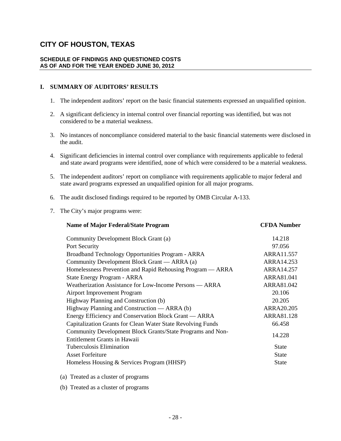### **SCHEDULE OF FINDINGS AND QUESTIONED COSTS AS OF AND FOR THE YEAR ENDED JUNE 30, 2012**

# **I. SUMMARY OF AUDITORS' RESULTS**

- 1. The independent auditors' report on the basic financial statements expressed an unqualified opinion.
- 2. A significant deficiency in internal control over financial reporting was identified, but was not considered to be a material weakness.
- 3. No instances of noncompliance considered material to the basic financial statements were disclosed in the audit.
- 4. Significant deficiencies in internal control over compliance with requirements applicable to federal and state award programs were identified, none of which were considered to be a material weakness.
- 5. The independent auditors' report on compliance with requirements applicable to major federal and state award programs expressed an unqualified opinion for all major programs.
- 6. The audit disclosed findings required to be reported by OMB Circular A-133.
- 7. The City's major programs were:

| <b>Name of Major Federal/State Program</b>                                                 | <b>CFDA Number</b> |
|--------------------------------------------------------------------------------------------|--------------------|
| Community Development Block Grant (a)                                                      | 14.218             |
| Port Security                                                                              | 97.056             |
| Broadband Technology Opportunities Program - ARRA                                          | ARRA11.557         |
| Community Development Block Grant — ARRA (a)                                               | ARRA14.253         |
| Homelessness Prevention and Rapid Rehousing Program — ARRA                                 | ARRA14.257         |
| State Energy Program - ARRA                                                                | ARRA81.041         |
| Weatherization Assistance for Low-Income Persons — ARRA                                    | ARRA81.042         |
| <b>Airport Improvement Program</b>                                                         | 20.106             |
| Highway Planning and Construction (b)                                                      | 20.205             |
| Highway Planning and Construction — ARRA (b)                                               | ARRA20.205         |
| Energy Efficiency and Conservation Block Grant — ARRA                                      | ARRA81.128         |
| Capitalization Grants for Clean Water State Revolving Funds                                | 66.458             |
| Community Development Block Grants/State Programs and Non-<br>Entitlement Grants in Hawaii | 14.228             |
| <b>Tuberculosis Elimination</b>                                                            | <b>State</b>       |
| <b>Asset Forfeiture</b>                                                                    | <b>State</b>       |
| Homeless Housing & Services Program (HHSP)                                                 | State              |
|                                                                                            |                    |

- (a) Treated as a cluster of programs
- (b) Treated as a cluster of programs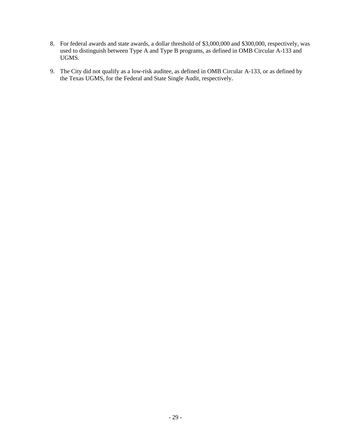- 8. For federal awards and state awards, a dollar threshold of \$3,000,000 and \$300,000, respectively, was used to distinguish between Type A and Type B programs, as defined in OMB Circular A-133 and UGMS.
- 9. The City did not qualify as a low-risk auditee, as defined in OMB Circular A-133, or as defined by the Texas UGMS, for the Federal and State Single Audit, respectively.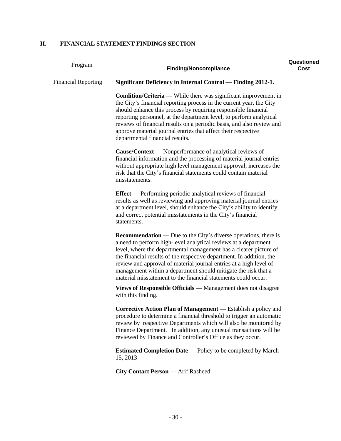# **II. FINANCIAL STATEMENT FINDINGS SECTION**

| Program                    | <b>Finding/Noncompliance</b>                                                                                                                                                                                                                                                                                                                                                                                                                                                                     | Questioned<br>Cost |
|----------------------------|--------------------------------------------------------------------------------------------------------------------------------------------------------------------------------------------------------------------------------------------------------------------------------------------------------------------------------------------------------------------------------------------------------------------------------------------------------------------------------------------------|--------------------|
| <b>Financial Reporting</b> | <b>Significant Deficiency in Internal Control — Finding 2012-1.</b>                                                                                                                                                                                                                                                                                                                                                                                                                              |                    |
|                            | <b>Condition/Criteria</b> — While there was significant improvement in<br>the City's financial reporting process in the current year, the City<br>should enhance this process by requiring responsible financial<br>reporting personnel, at the department level, to perform analytical<br>reviews of financial results on a periodic basis, and also review and<br>approve material journal entries that affect their respective<br>departmental financial results.                             |                    |
|                            | <b>Cause/Context</b> — Nonperformance of analytical reviews of<br>financial information and the processing of material journal entries<br>without appropriate high level management approval, increases the<br>risk that the City's financial statements could contain material<br>misstatements.                                                                                                                                                                                                |                    |
|                            | <b>Effect</b> — Performing periodic analytical reviews of financial<br>results as well as reviewing and approving material journal entries<br>at a department level, should enhance the City's ability to identify<br>and correct potential misstatements in the City's financial<br>statements.                                                                                                                                                                                                 |                    |
|                            | <b>Recommendation</b> — Due to the City's diverse operations, there is<br>a need to perform high-level analytical reviews at a department<br>level, where the departmental management has a clearer picture of<br>the financial results of the respective department. In addition, the<br>review and approval of material journal entries at a high level of<br>management within a department should mitigate the risk that a<br>material misstatement to the financial statements could occur. |                    |
|                            | Views of Responsible Officials — Management does not disagree<br>with this finding.                                                                                                                                                                                                                                                                                                                                                                                                              |                    |
|                            | Corrective Action Plan of Management - Establish a policy and<br>procedure to determine a financial threshold to trigger an automatic<br>review by respective Departments which will also be monitored by<br>Finance Department. In addition, any unusual transactions will be<br>reviewed by Finance and Controller's Office as they occur.                                                                                                                                                     |                    |
|                            | <b>Estimated Completion Date</b> — Policy to be completed by March<br>15, 2013                                                                                                                                                                                                                                                                                                                                                                                                                   |                    |

**City Contact Person** — Arif Rasheed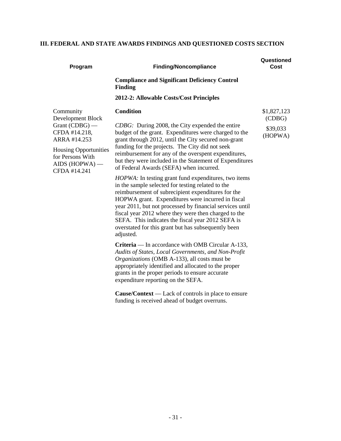# **III. FEDERAL AND STATE AWARDS FINDINGS AND QUESTIONED COSTS SECTION**

| Program                                                                                                                                                                     | <b>Finding/Noncompliance</b>                                                                                                                                                                                                                                                                                                                                                                                                                                                                                                                                                                                                                                                                                                                                                                                                                                                                                                                                                                                                                                                                                                                                                            | Questioned<br>Cost                           |
|-----------------------------------------------------------------------------------------------------------------------------------------------------------------------------|-----------------------------------------------------------------------------------------------------------------------------------------------------------------------------------------------------------------------------------------------------------------------------------------------------------------------------------------------------------------------------------------------------------------------------------------------------------------------------------------------------------------------------------------------------------------------------------------------------------------------------------------------------------------------------------------------------------------------------------------------------------------------------------------------------------------------------------------------------------------------------------------------------------------------------------------------------------------------------------------------------------------------------------------------------------------------------------------------------------------------------------------------------------------------------------------|----------------------------------------------|
|                                                                                                                                                                             | <b>Compliance and Significant Deficiency Control</b><br><b>Finding</b>                                                                                                                                                                                                                                                                                                                                                                                                                                                                                                                                                                                                                                                                                                                                                                                                                                                                                                                                                                                                                                                                                                                  |                                              |
|                                                                                                                                                                             | 2012-2: Allowable Costs/Cost Principles                                                                                                                                                                                                                                                                                                                                                                                                                                                                                                                                                                                                                                                                                                                                                                                                                                                                                                                                                                                                                                                                                                                                                 |                                              |
| Community<br>Development Block<br>Grant $(CDBG)$ —<br>CFDA #14.218,<br>ARRA #14.253<br><b>Housing Opportunities</b><br>for Persons With<br>$AIDS$ (HOPWA) —<br>CFDA #14.241 | <b>Condition</b><br>CDBG: During 2008, the City expended the entire<br>budget of the grant. Expenditures were charged to the<br>grant through 2012, until the City secured non-grant<br>funding for the projects. The City did not seek<br>reimbursement for any of the overspent expenditures,<br>but they were included in the Statement of Expenditures<br>of Federal Awards (SEFA) when incurred.<br>HOPWA: In testing grant fund expenditures, two items<br>in the sample selected for testing related to the<br>reimbursement of subrecipient expenditures for the<br>HOPWA grant. Expenditures were incurred in fiscal<br>year 2011, but not processed by financial services until<br>fiscal year 2012 where they were then charged to the<br>SEFA. This indicates the fiscal year 2012 SEFA is<br>overstated for this grant but has subsequently been<br>adjusted.<br>Criteria — In accordance with OMB Circular A-133,<br>Audits of States, Local Governments, and Non-Profit<br>Organizations (OMB A-133), all costs must be<br>appropriately identified and allocated to the proper<br>grants in the proper periods to ensure accurate<br>expenditure reporting on the SEFA. | \$1,827,123<br>(CDBG)<br>\$39,033<br>(HOPWA) |
|                                                                                                                                                                             | <b>Cause/Context</b> — Lack of controls in place to ensure<br>funding is received ahead of budget overruns.                                                                                                                                                                                                                                                                                                                                                                                                                                                                                                                                                                                                                                                                                                                                                                                                                                                                                                                                                                                                                                                                             |                                              |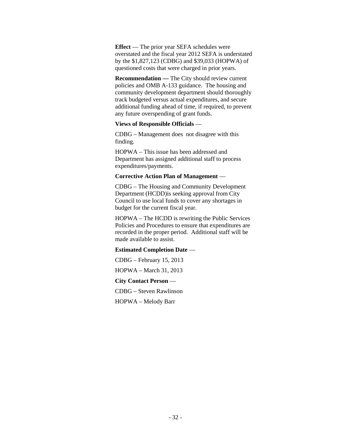**Effect** — The prior year SEFA schedules were overstated and the fiscal year 2012 SEFA is understated by the \$1,827,123 (CDBG) and \$39,033 (HOPWA) of questioned costs that were charged in prior years.

**Recommendation —** The City should review current policies and OMB A-133 guidance. The housing and community development department should thoroughly track budgeted versus actual expenditures, and secure additional funding ahead of time, if required, to prevent any future overspending of grant funds.

## **Views of Responsible Officials** —

CDBG – Management does not disagree with this finding.

HOPWA – This issue has been addressed and Department has assigned additional staff to process expenditures/payments.

#### **Corrective Action Plan of Management** —

CDBG – The Housing and Community Development Department (HCDD)is seeking approval from City Council to use local funds to cover any shortages in budget for the current fiscal year.

HOPWA – The HCDD is rewriting the Public Services Policies and Procedures to ensure that expenditures are recorded in the proper period. Additional staff will be made available to assist.

# **Estimated Completion Date** —

CDBG – February 15, 2013

HOPWA – March 31, 2013

**City Contact Person** —

CDBG – Steven Rawlinson

HOPWA – Melody Barr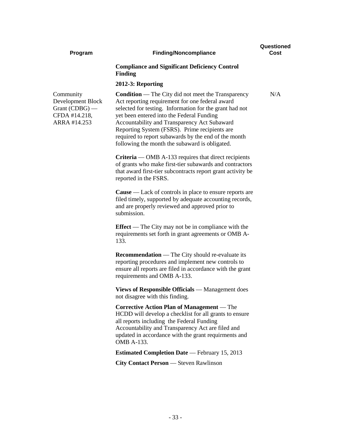#### **Program Finding/Noncompliance**

**Questioned Cost**

N/A

# **Compliance and Significant Deficiency Control Finding**

#### **2012-3: Reporting**

Community Development Block Grant (CDBG) — CFDA #14.218, ARRA #14.253

**Condition** — The City did not meet the Transparency Act reporting requirement for one federal award selected for testing. Information for the grant had not yet been entered into the Federal Funding Accountability and Transparency Act Subaward Reporting System (FSRS). Prime recipients are required to report subawards by the end of the month following the month the subaward is obligated.

**Criteria** — OMB A-133 requires that direct recipients of grants who make first-tier subawards and contractors that award first-tier subcontracts report grant activity be reported in the FSRS.

**Cause** — Lack of controls in place to ensure reports are filed timely, supported by adequate accounting records, and are properly reviewed and approved prior to submission.

**Effect** — The City may not be in compliance with the requirements set forth in grant agreements or OMB A-133.

**Recommendation** — The City should re-evaluate its reporting procedures and implement new controls to ensure all reports are filed in accordance with the grant requirements and OMB A-133.

**Views of Responsible Officials** — Management does not disagree with this finding.

**Corrective Action Plan of Management** — The HCDD will develop a checklist for all grants to ensure all reports including the Federal Funding Accountability and Transparency Act are filed and updated in accordance with the grant requirments and OMB A-133.

**Estimated Completion Date** — February 15, 2013

**City Contact Person** — Steven Rawlinson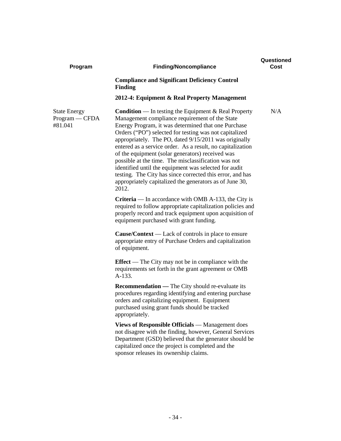| <b>Finding/Noncompliance</b>                                                                                                                                                                                                                                                                                                                                                                                                                                                                                                                                                                                                                                  | Cost |
|---------------------------------------------------------------------------------------------------------------------------------------------------------------------------------------------------------------------------------------------------------------------------------------------------------------------------------------------------------------------------------------------------------------------------------------------------------------------------------------------------------------------------------------------------------------------------------------------------------------------------------------------------------------|------|
| <b>Compliance and Significant Deficiency Control</b><br><b>Finding</b>                                                                                                                                                                                                                                                                                                                                                                                                                                                                                                                                                                                        |      |
| 2012-4: Equipment & Real Property Management                                                                                                                                                                                                                                                                                                                                                                                                                                                                                                                                                                                                                  |      |
| <b>Condition</b> — In testing the Equipment $\&$ Real Property<br>Management compliance requirement of the State<br>Energy Program, it was determined that one Purchase<br>Orders ("PO") selected for testing was not capitalized<br>appropriately. The PO, dated 9/15/2011 was originally<br>entered as a service order. As a result, no capitalization<br>of the equipment (solar generators) received was<br>possible at the time. The misclassification was not<br>identified until the equipment was selected for audit<br>testing. The City has since corrected this error, and has<br>appropriately capitalized the generators as of June 30,<br>2012. | N/A  |
| <b>Criteria</b> — In accordance with OMB A-133, the City is<br>required to follow appropriate capitalization policies and<br>properly record and track equipment upon acquisition of<br>equipment purchased with grant funding.                                                                                                                                                                                                                                                                                                                                                                                                                               |      |
| <b>Cause/Context</b> — Lack of controls in place to ensure<br>appropriate entry of Purchase Orders and capitalization<br>of equipment.                                                                                                                                                                                                                                                                                                                                                                                                                                                                                                                        |      |
| <b>Effect</b> — The City may not be in compliance with the<br>requirements set forth in the grant agreement or OMB<br>A-133.                                                                                                                                                                                                                                                                                                                                                                                                                                                                                                                                  |      |
| <b>Recommendation</b> - The City should re-evaluate its<br>procedures regarding identifying and entering purchase<br>orders and capitalizing equipment. Equipment<br>purchased using grant funds should be tracked<br>appropriately.                                                                                                                                                                                                                                                                                                                                                                                                                          |      |
| <b>Views of Responsible Officials</b> — Management does<br>not disagree with the finding, however, General Services<br>Department (GSD) believed that the generator should be<br>capitalized once the project is completed and the<br>sponsor releases its ownership claims.                                                                                                                                                                                                                                                                                                                                                                                  |      |
|                                                                                                                                                                                                                                                                                                                                                                                                                                                                                                                                                                                                                                                               |      |

**Questioned**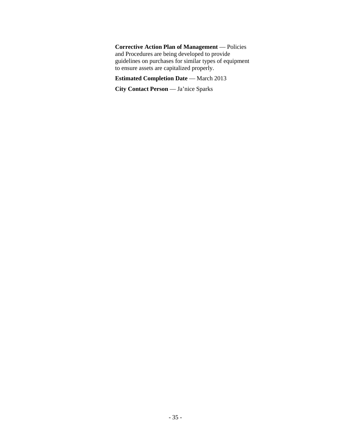**Corrective Action Plan of Management** — Policies and Procedures are being developed to provide guidelines on purchases for similar types of equipment to ensure assets are capitalized properly.

# **Estimated Completion Date** — March 2013

**City Contact Person** — Ja'nice Sparks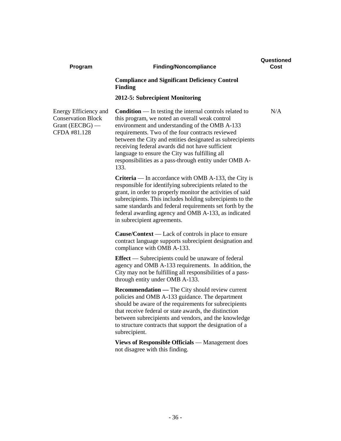| Program                                                                                 | <b>Finding/Noncompliance</b>                                                                                                                                                                                                                                                                                                                                                                                                                                | Questioned<br>Cost |
|-----------------------------------------------------------------------------------------|-------------------------------------------------------------------------------------------------------------------------------------------------------------------------------------------------------------------------------------------------------------------------------------------------------------------------------------------------------------------------------------------------------------------------------------------------------------|--------------------|
|                                                                                         | <b>Compliance and Significant Deficiency Control</b><br><b>Finding</b>                                                                                                                                                                                                                                                                                                                                                                                      |                    |
|                                                                                         | 2012-5: Subrecipient Monitoring                                                                                                                                                                                                                                                                                                                                                                                                                             |                    |
| Energy Efficiency and<br><b>Conservation Block</b><br>Grant (EECBG) $-$<br>CFDA #81.128 | <b>Condition</b> — In testing the internal controls related to<br>this program, we noted an overall weak control<br>environment and understanding of the OMB A-133<br>requirements. Two of the four contracts reviewed<br>between the City and entities designated as subrecipients<br>receiving federal awards did not have sufficient<br>language to ensure the City was fulfilling all<br>responsibilities as a pass-through entity under OMB A-<br>133. | N/A                |
|                                                                                         | <b>Criteria</b> — In accordance with OMB A-133, the City is<br>responsible for identifying subrecipients related to the<br>grant, in order to properly monitor the activities of said<br>subrecipients. This includes holding subrecipients to the<br>same standards and federal requirements set forth by the<br>federal awarding agency and OMB A-133, as indicated<br>in subrecipient agreements.                                                        |                    |
|                                                                                         | <b>Cause/Context</b> — Lack of controls in place to ensure<br>contract language supports subrecipient designation and<br>compliance with OMB A-133.                                                                                                                                                                                                                                                                                                         |                    |
|                                                                                         | <b>Effect</b> — Subrecipients could be unaware of federal<br>agency and OMB A-133 requirements. In addition, the<br>City may not be fulfilling all responsibilities of a pass-<br>through entity under OMB A-133.                                                                                                                                                                                                                                           |                    |
|                                                                                         | <b>Recommendation</b> — The City should review current<br>policies and OMB A-133 guidance. The department<br>should be aware of the requirements for subrecipients<br>that receive federal or state awards, the distinction<br>between subrecipients and vendors, and the knowledge<br>to structure contracts that support the designation of a<br>subrecipient.                                                                                            |                    |
|                                                                                         | <b>Views of Responsible Officials</b> — Management does<br>not disagree with this finding.                                                                                                                                                                                                                                                                                                                                                                  |                    |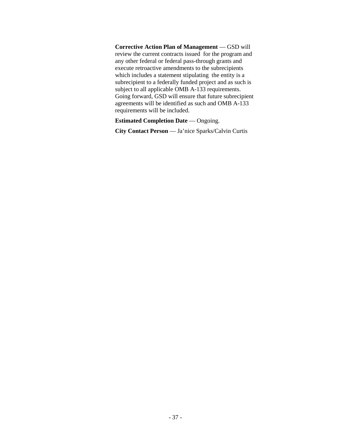**Corrective Action Plan of Management** — GSD will review the current contracts issued for the program and any other federal or federal pass-through grants and execute retroactive amendments to the subrecipients which includes a statement stipulating the entity is a subrecipient to a federally funded project and as such is subject to all applicable OMB A-133 requirements. Going forward, GSD will ensure that future subrecipient agreements will be identified as such and OMB A-133 requirements will be included.

**Estimated Completion Date** — Ongoing.

**City Contact Person** — Ja'nice Sparks/Calvin Curtis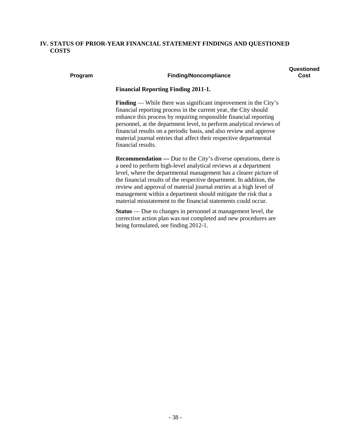# **IV. STATUS OF PRIOR-YEAR FINANCIAL STATEMENT FINDINGS AND QUESTIONED COSTS**

### **Questioned Cost**

#### **Program Finding/Noncompliance**

**Financial Reporting Finding 2011-1.** 

**Finding** — While there was significant improvement in the City's financial reporting process in the current year, the City should enhance this process by requiring responsible financial reporting personnel, at the department level, to perform analytical reviews of financial results on a periodic basis, and also review and approve material journal entries that affect their respective departmental financial results.

**Recommendation** — Due to the City's diverse operations, there is a need to perform high-level analytical reviews at a department level, where the departmental management has a clearer picture of the financial results of the respective department. In addition, the review and approval of material journal entries at a high level of management within a department should mitigate the risk that a material misstatement to the financial statements could occur.

**Status** — Due to changes in personnel at management level, the corrective action plan was not completed and new procedures are being formulated, see finding 2012-1.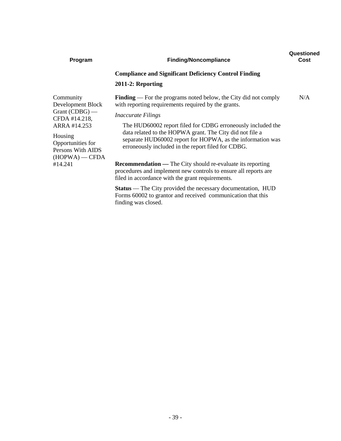| Program                                                                                                                                  | <b>Finding/Noncompliance</b>                                                                                                                                                                                                                                                                                                                                                                              | Questioned<br>Cost |
|------------------------------------------------------------------------------------------------------------------------------------------|-----------------------------------------------------------------------------------------------------------------------------------------------------------------------------------------------------------------------------------------------------------------------------------------------------------------------------------------------------------------------------------------------------------|--------------------|
|                                                                                                                                          | <b>Compliance and Significant Deficiency Control Finding</b>                                                                                                                                                                                                                                                                                                                                              |                    |
|                                                                                                                                          | 2011-2: Reporting                                                                                                                                                                                                                                                                                                                                                                                         |                    |
| Community<br>Development Block<br>Grant $(CDBG)$ —<br>CFDA #14.218,<br>ARRA #14.253<br>Housing<br>Opportunities for<br>Persons With AIDS | <b>Finding</b> — For the programs noted below, the City did not comply<br>with reporting requirements required by the grants.<br><i>Inaccurate Filings</i><br>The HUD60002 report filed for CDBG erroneously included the<br>data related to the HOPWA grant. The City did not file a<br>separate HUD60002 report for HOPWA, as the information was<br>erroneously included in the report filed for CDBG. | N/A                |
| $(HOPWA)$ - CFDA<br>#14.241                                                                                                              | <b>Recommendation</b> — The City should re-evaluate its reporting<br>procedures and implement new controls to ensure all reports are<br>filed in accordance with the grant requirements.                                                                                                                                                                                                                  |                    |
|                                                                                                                                          | <b>Status</b> — The City provided the necessary documentation, HUD<br>Forms 60002 to grantor and received communication that this<br>finding was closed.                                                                                                                                                                                                                                                  |                    |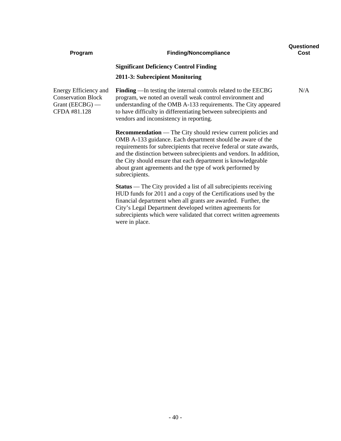| Program                                                                                 | <b>Finding/Noncompliance</b>                                                                                                                                                                                                                                                                                                                                                                                                   | Questioned<br>Cost |
|-----------------------------------------------------------------------------------------|--------------------------------------------------------------------------------------------------------------------------------------------------------------------------------------------------------------------------------------------------------------------------------------------------------------------------------------------------------------------------------------------------------------------------------|--------------------|
|                                                                                         | <b>Significant Deficiency Control Finding</b><br>2011-3: Subrecipient Monitoring                                                                                                                                                                                                                                                                                                                                               |                    |
| Energy Efficiency and<br><b>Conservation Block</b><br>Grant (EECBG) $-$<br>CFDA #81.128 | <b>Finding</b> — In testing the internal controls related to the EECBG<br>program, we noted an overall weak control environment and<br>understanding of the OMB A-133 requirements. The City appeared<br>to have difficulty in differentiating between subrecipients and<br>vendors and inconsistency in reporting.                                                                                                            | N/A                |
|                                                                                         | <b>Recommendation</b> — The City should review current policies and<br>OMB A-133 guidance. Each department should be aware of the<br>requirements for subrecipients that receive federal or state awards,<br>and the distinction between subrecipients and vendors. In addition,<br>the City should ensure that each department is knowledgeable<br>about grant agreements and the type of work performed by<br>subrecipients. |                    |
|                                                                                         | <b>Status</b> — The City provided a list of all subrecipients receiving<br>HUD funds for 2011 and a copy of the Certifications used by the<br>financial department when all grants are awarded. Further, the<br>City's Legal Department developed written agreements for<br>subrecipients which were validated that correct written agreements<br>were in place.                                                               |                    |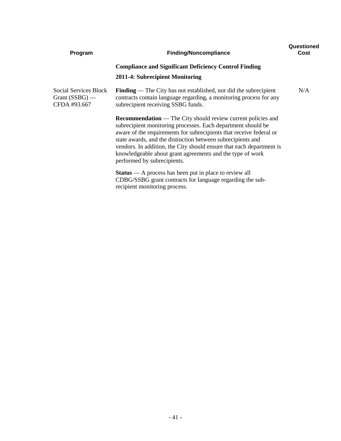| Program                                                   | <b>Finding/Noncompliance</b>                                                                                                                                                                                                                                                                                                                                                                                                                  | Questioned<br>Cost |
|-----------------------------------------------------------|-----------------------------------------------------------------------------------------------------------------------------------------------------------------------------------------------------------------------------------------------------------------------------------------------------------------------------------------------------------------------------------------------------------------------------------------------|--------------------|
|                                                           | <b>Compliance and Significant Deficiency Control Finding</b>                                                                                                                                                                                                                                                                                                                                                                                  |                    |
|                                                           | 2011-4: Subrecipient Monitoring                                                                                                                                                                                                                                                                                                                                                                                                               |                    |
| Social Services Block<br>Grant $(SSBG)$ —<br>CFDA #93.667 | <b>Finding</b> — The City has not established, nor did the subrecipient<br>contracts contain language regarding, a monitoring process for any<br>subrecipient receiving SSBG funds.                                                                                                                                                                                                                                                           | N/A                |
|                                                           | <b>Recommendation</b> — The City should review current policies and<br>subrecipient monitoring processes. Each department should be<br>aware of the requirements for subrecipients that receive federal or<br>state awards, and the distinction between subrecipients and<br>vendors. In addition, the City should ensure that each department is<br>knowledgeable about grant agreements and the type of work<br>performed by subrecipients. |                    |
|                                                           | $Status - A process has been put in place to review all$<br>CDBG/SSBG grant contracts for language regarding the sub-<br>recipient monitoring process.                                                                                                                                                                                                                                                                                        |                    |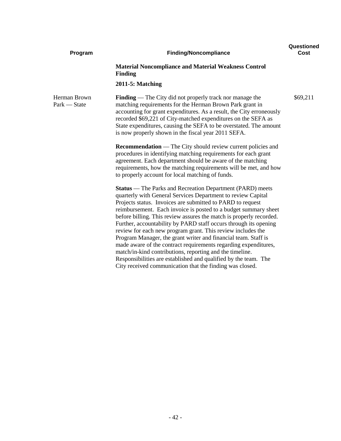| Program                      | <b>Finding/Noncompliance</b>                                                                                                                                                                                                                                                                                                                                                                                                                                                                                                                                                                                                                                                                                                                                                                                | Questioned<br>Cost |
|------------------------------|-------------------------------------------------------------------------------------------------------------------------------------------------------------------------------------------------------------------------------------------------------------------------------------------------------------------------------------------------------------------------------------------------------------------------------------------------------------------------------------------------------------------------------------------------------------------------------------------------------------------------------------------------------------------------------------------------------------------------------------------------------------------------------------------------------------|--------------------|
|                              | <b>Material Noncompliance and Material Weakness Control</b><br><b>Finding</b>                                                                                                                                                                                                                                                                                                                                                                                                                                                                                                                                                                                                                                                                                                                               |                    |
|                              | $2011-5$ : Matching                                                                                                                                                                                                                                                                                                                                                                                                                                                                                                                                                                                                                                                                                                                                                                                         |                    |
| Herman Brown<br>Park — State | <b>Finding</b> — The City did not properly track nor manage the<br>matching requirements for the Herman Brown Park grant in<br>accounting for grant expenditures. As a result, the City erroneously<br>recorded \$69,221 of City-matched expenditures on the SEFA as<br>State expenditures, causing the SEFA to be overstated. The amount<br>is now properly shown in the fiscal year 2011 SEFA.                                                                                                                                                                                                                                                                                                                                                                                                            | \$69,211           |
|                              | <b>Recommendation</b> — The City should review current policies and<br>procedures in identifying matching requirements for each grant<br>agreement. Each department should be aware of the matching<br>requirements, how the matching requirements will be met, and how<br>to properly account for local matching of funds.                                                                                                                                                                                                                                                                                                                                                                                                                                                                                 |                    |
|                              | <b>Status</b> — The Parks and Recreation Department (PARD) meets<br>quarterly with General Services Department to review Capital<br>Projects status. Invoices are submitted to PARD to request<br>reimbursement. Each invoice is posted to a budget summary sheet<br>before billing. This review assures the match is properly recorded.<br>Further, accountability by PARD staff occurs through its opening<br>review for each new program grant. This review includes the<br>Program Manager, the grant writer and financial team. Staff is<br>made aware of the contract requirements regarding expenditures,<br>match/in-kind contributions, reporting and the timeline.<br>Responsibilities are established and qualified by the team. The<br>City received communication that the finding was closed. |                    |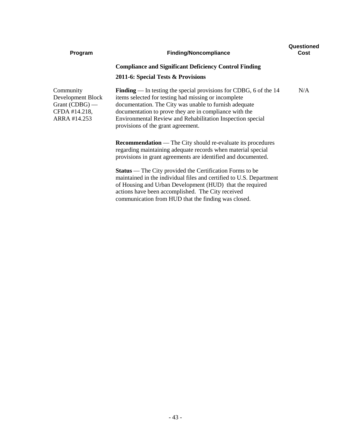| Program                                                                           | <b>Finding/Noncompliance</b>                                                                                                                                                                                                                                                                                                                               | Questioned<br>Cost |
|-----------------------------------------------------------------------------------|------------------------------------------------------------------------------------------------------------------------------------------------------------------------------------------------------------------------------------------------------------------------------------------------------------------------------------------------------------|--------------------|
|                                                                                   | <b>Compliance and Significant Deficiency Control Finding</b>                                                                                                                                                                                                                                                                                               |                    |
|                                                                                   | 2011-6: Special Tests & Provisions                                                                                                                                                                                                                                                                                                                         |                    |
| Community<br>Development Block<br>Grant (CDBG) —<br>CFDA #14.218,<br>ARRA #14.253 | <b>Finding</b> — In testing the special provisions for CDBG, 6 of the $14$<br>items selected for testing had missing or incomplete<br>documentation. The City was unable to furnish adequate<br>documentation to prove they are in compliance with the<br>Environmental Review and Rehabilitation Inspection special<br>provisions of the grant agreement. | N/A                |
|                                                                                   | <b>Recommendation</b> — The City should re-evaluate its procedures<br>regarding maintaining adequate records when material special<br>provisions in grant agreements are identified and documented.                                                                                                                                                        |                    |
|                                                                                   | <b>Status</b> — The City provided the Certification Forms to be<br>maintained in the individual files and certified to U.S. Department<br>of Housing and Urban Development (HUD) that the required<br>actions have been accomplished. The City received<br>communication from HUD that the finding was closed.                                             |                    |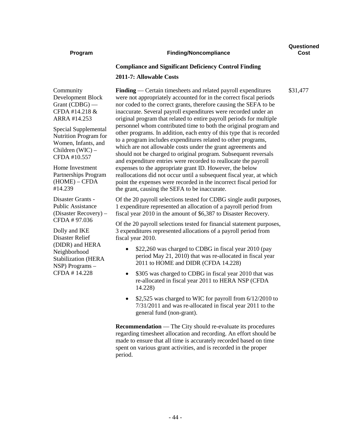#### **Program Finding/Noncompliance**

**Questioned Cost**

\$31,477

#### **Compliance and Significant Deficiency Control Finding**

#### **2011-7: Allowable Costs**

Community Development Block Grant (CDBG) — CFDA #14.218 & ARRA #14.253

Special Supplemental Nutrition Program for Women, Infants, and Children (WIC) – CFDA #10.557

Home Investment Partnerships Program (HOME) – CFDA #14.239

Disaster Grants - Public Assistance (Disaster Recovery) – CFDA # 97.036

Dolly and IKE Disaster Relief (DIDR) and HERA Neighborhood Stabilization (HERA NSP) Programs – CFDA # 14.228

**Finding** — Certain timesheets and related payroll expenditures were not appropriately accounted for in the correct fiscal periods nor coded to the correct grants, therefore causing the SEFA to be inaccurate. Several payroll expenditures were recorded under an original program that related to entire payroll periods for multiple personnel whom contributed time to both the original program and other programs. In addition, each entry of this type that is recorded to a program includes expenditures related to other programs, which are not allowable costs under the grant agreements and should not be charged to original program. Subsequent reversals and expenditure entries were recorded to reallocate the payroll expenses to the appropriate grant ID. However, the below reallocations did not occur until a subsequent fiscal year, at which point the expenses were recorded in the incorrect fiscal period for the grant, causing the SEFA to be inaccurate.

Of the 20 payroll selections tested for CDBG single audit purposes, 1 expenditure represented an allocation of a payroll period from fiscal year 2010 in the amount of \$6,387 to Disaster Recovery.

Of the 20 payroll selections tested for financial statement purposes, 3 expenditures represented allocations of a payroll period from fiscal year 2010.

- \$22,260 was charged to CDBG in fiscal year 2010 (pay period May 21, 2010) that was re-allocated in fiscal year 2011 to HOME and DIDR (CFDA 14.228)
- \$305 was charged to CDBG in fiscal year 2010 that was re-allocated in fiscal year 2011 to HERA NSP (CFDA 14.228)
- \$2,525 was charged to WIC for payroll from 6/12/2010 to 7/31/2011 and was re-allocated in fiscal year 2011 to the general fund (non-grant).

**Recommendation** — The City should re-evaluate its procedures regarding timesheet allocation and recording. An effort should be made to ensure that all time is accurately recorded based on time spent on various grant activities, and is recorded in the proper period.